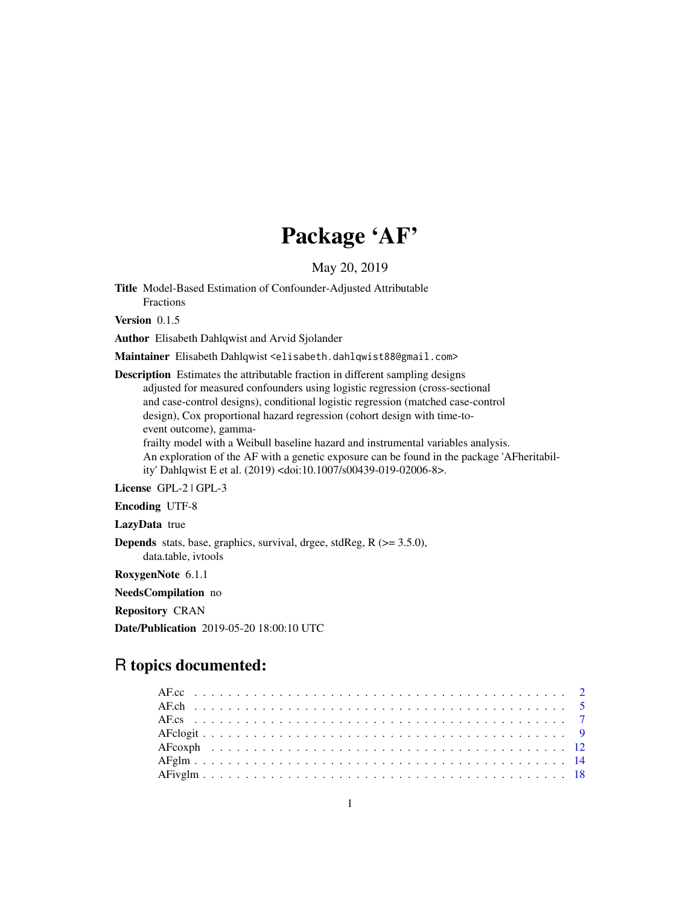# Package 'AF'

May 20, 2019

<span id="page-0-0"></span>Title Model-Based Estimation of Confounder-Adjusted Attributable Fractions

Version 0.1.5

Author Elisabeth Dahlqwist and Arvid Sjolander

Maintainer Elisabeth Dahlqwist <elisabeth.dahlqwist88@gmail.com>

Description Estimates the attributable fraction in different sampling designs adjusted for measured confounders using logistic regression (cross-sectional and case-control designs), conditional logistic regression (matched case-control design), Cox proportional hazard regression (cohort design with time-toevent outcome), gamma-

frailty model with a Weibull baseline hazard and instrumental variables analysis. An exploration of the AF with a genetic exposure can be found in the package 'AFheritability' Dahlqwist E et al. (2019) <doi:10.1007/s00439-019-02006-8>.

License GPL-2 | GPL-3

Encoding UTF-8

LazyData true

Depends stats, base, graphics, survival, drgee, stdReg, R (>= 3.5.0), data.table, ivtools

RoxygenNote 6.1.1

NeedsCompilation no

Repository CRAN

Date/Publication 2019-05-20 18:00:10 UTC

# R topics documented: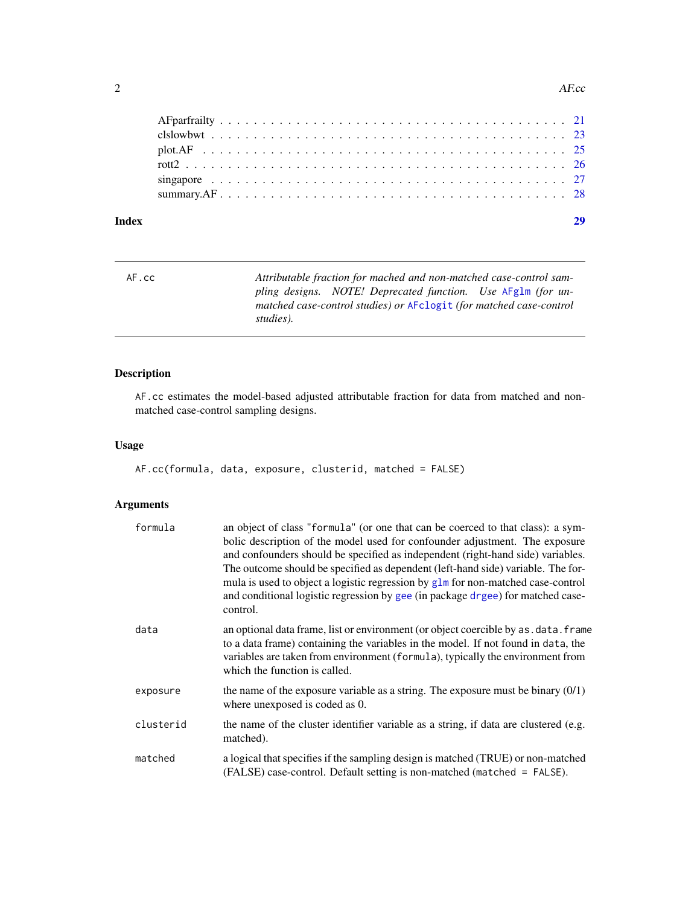#### <span id="page-1-0"></span>2 a contract to the contract of the contract of the contract of the contract of the contract of the contract of the contract of the contract of the contract of the contract of the contract of the contract of the contract o

#### **Index** [29](#page-28-0)

| AF.cc | Attributable fraction for mached and non-matched case-control sam-  |
|-------|---------------------------------------------------------------------|
|       | pling designs. NOTE! Deprecated function. Use AFglm (for un-        |
|       | matched case-control studies) or AFclogit (for matched case-control |
|       | studies).                                                           |

# Description

AF.cc estimates the model-based adjusted attributable fraction for data from matched and nonmatched case-control sampling designs.

# Usage

```
AF.cc(formula, data, exposure, clusterid, matched = FALSE)
```
# Arguments

| formula   | an object of class "formula" (or one that can be coerced to that class): a sym-<br>bolic description of the model used for confounder adjustment. The exposure<br>and confounders should be specified as independent (right-hand side) variables.<br>The outcome should be specified as dependent (left-hand side) variable. The for-<br>mula is used to object a logistic regression by $g\ln$ for non-matched case-control<br>and conditional logistic regression by gee (in package drgee) for matched case-<br>control. |
|-----------|-----------------------------------------------------------------------------------------------------------------------------------------------------------------------------------------------------------------------------------------------------------------------------------------------------------------------------------------------------------------------------------------------------------------------------------------------------------------------------------------------------------------------------|
| data      | an optional data frame, list or environment (or object coercible by as . data. frame<br>to a data frame) containing the variables in the model. If not found in data, the<br>variables are taken from environment (formula), typically the environment from<br>which the function is called.                                                                                                                                                                                                                                |
| exposure  | the name of the exposure variable as a string. The exposure must be binary $(0/1)$<br>where unexposed is coded as 0.                                                                                                                                                                                                                                                                                                                                                                                                        |
| clusterid | the name of the cluster identifier variable as a string, if data are clustered (e.g.<br>matched).                                                                                                                                                                                                                                                                                                                                                                                                                           |
| matched   | a logical that specifies if the sampling design is matched (TRUE) or non-matched<br>(FALSE) case-control. Default setting is non-matched (matched = FALSE).                                                                                                                                                                                                                                                                                                                                                                 |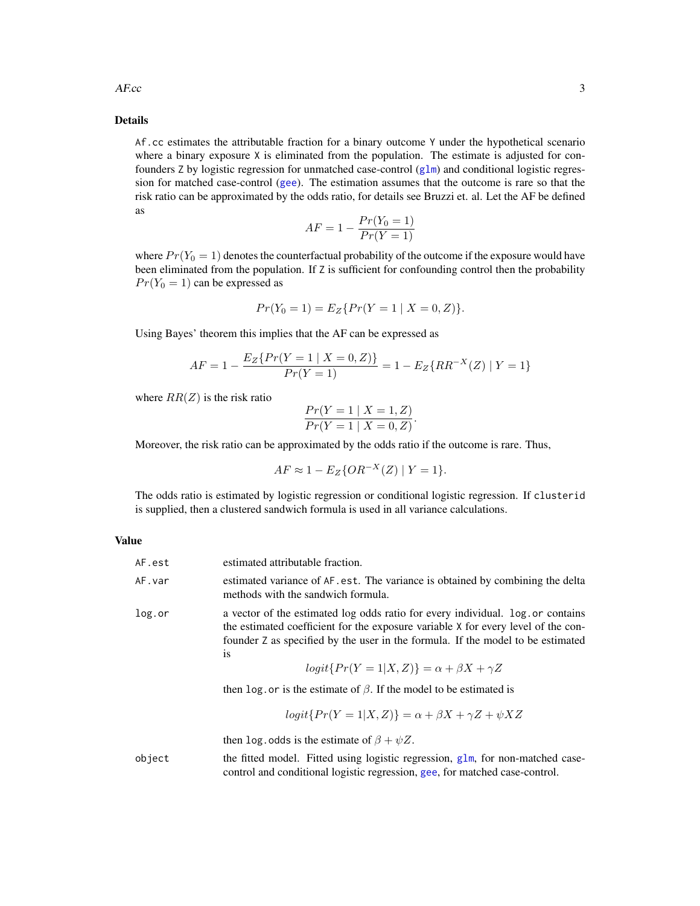$AF_{\mathcal{C}}$  3

# Details

Af.cc estimates the attributable fraction for a binary outcome Y under the hypothetical scenario where a binary exposure X is eliminated from the population. The estimate is adjusted for confounders  $Z$  by logistic regression for unmatched case-control  $(g1m)$  and conditional logistic regression for matched case-control ([gee](#page-0-0)). The estimation assumes that the outcome is rare so that the risk ratio can be approximated by the odds ratio, for details see Bruzzi et. al. Let the AF be defined as

$$
AF = 1 - \frac{Pr(Y_0 = 1)}{Pr(Y = 1)}
$$

where  $Pr(Y_0 = 1)$  denotes the counterfactual probability of the outcome if the exposure would have been eliminated from the population. If Z is sufficient for confounding control then the probability  $Pr(Y_0 = 1)$  can be expressed as

$$
Pr(Y_0 = 1) = E_Z\{Pr(Y = 1 \mid X = 0, Z)\}.
$$

Using Bayes' theorem this implies that the AF can be expressed as

$$
AF = 1 - \frac{E_Z\{Pr(Y=1 \mid X=0,Z)\}}{Pr(Y=1)} = 1 - E_Z\{RR^{-X}(Z) \mid Y=1\}
$$

where  $RR(Z)$  is the risk ratio

$$
\frac{Pr(Y = 1 | X = 1, Z)}{Pr(Y = 1 | X = 0, Z)}.
$$

Moreover, the risk ratio can be approximated by the odds ratio if the outcome is rare. Thus,

$$
AF \approx 1 - E_Z\{OR^{-X}(Z) \mid Y = 1\}.
$$

The odds ratio is estimated by logistic regression or conditional logistic regression. If clusterid is supplied, then a clustered sandwich formula is used in all variance calculations.

#### Value

| AF.est | estimated attributable fraction.                                                                                                                                                                                                                                                                                                                                                                                                                                     |
|--------|----------------------------------------------------------------------------------------------------------------------------------------------------------------------------------------------------------------------------------------------------------------------------------------------------------------------------------------------------------------------------------------------------------------------------------------------------------------------|
| AF.var | estimated variance of AF. est. The variance is obtained by combining the delta<br>methods with the sandwich formula.                                                                                                                                                                                                                                                                                                                                                 |
| log.or | a vector of the estimated log odds ratio for every individual. log. or contains<br>the estimated coefficient for the exposure variable X for every level of the con-<br>founder Z as specified by the user in the formula. If the model to be estimated<br>1S<br>$logit\{Pr(Y=1 X,Z)\} = \alpha + \beta X + \gamma Z$<br>then log. or is the estimate of $\beta$ . If the model to be estimated is<br>$logit\{Pr(Y=1 X,Z)\} = \alpha + \beta X + \gamma Z + \psi XZ$ |
|        | then log. odds is the estimate of $\beta + \psi Z$ .                                                                                                                                                                                                                                                                                                                                                                                                                 |
| object | the fitted model. Fitted using logistic regression, glm, for non-matched case-<br>control and conditional logistic regression, gee, for matched case-control.                                                                                                                                                                                                                                                                                                        |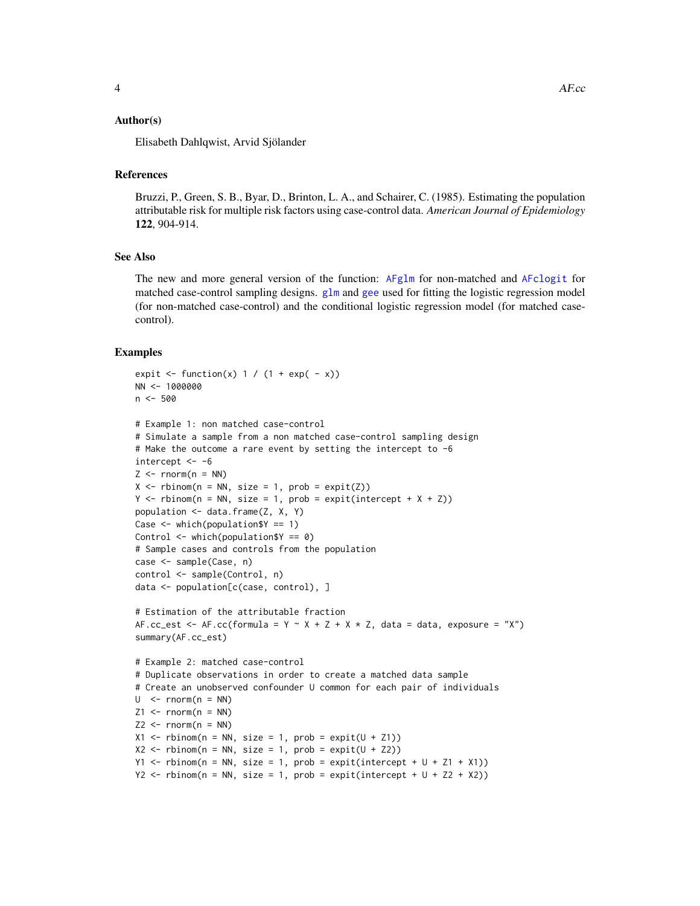#### <span id="page-3-0"></span>Author(s)

Elisabeth Dahlqwist, Arvid Sjölander

#### References

Bruzzi, P., Green, S. B., Byar, D., Brinton, L. A., and Schairer, C. (1985). Estimating the population attributable risk for multiple risk factors using case-control data. *American Journal of Epidemiology* 122, 904-914.

# See Also

The new and more general version of the function: [AFglm](#page-13-1) for non-matched and [AFclogit](#page-8-1) for matched case-control sampling designs.  $g\ln m$  and [gee](#page-0-0) used for fitting the logistic regression model (for non-matched case-control) and the conditional logistic regression model (for matched casecontrol).

#### Examples

```
expit \le function(x) 1 / (1 + exp( - x))
NN <- 1000000
n < -500# Example 1: non matched case-control
# Simulate a sample from a non matched case-control sampling design
# Make the outcome a rare event by setting the intercept to -6
intercept <- -6
Z \le - rnorm(n = NN)
X \leq -r rbinom(n = NN, size = 1, prob = expit(Z))
Y \le rbinom(n = NN, size = 1, prob = expit(intercept + X + Z))
population <- data.frame(Z, X, Y)
Case \leq which(population$Y == 1)
Control <- which(population$Y == 0)
# Sample cases and controls from the population
case <- sample(Case, n)
control <- sample(Control, n)
data <- population[c(case, control), ]
# Estimation of the attributable fraction
AF.cc_est <- AF.cc(formula = Y ~ X + Z + X * Z, data = data, exposure = "X")
summary(AF.cc_est)
# Example 2: matched case-control
# Duplicate observations in order to create a matched data sample
# Create an unobserved confounder U common for each pair of individuals
U \le - rnorm(n = NN)
Z1 <- rnorm(n = NN)
Z2 \le - rnorm(n = NN)X1 \leftarrow \text{rbinom}(n = NN, \text{ size} = 1, \text{ prob} = \text{expit}(U + Z1))X2 \leq -rbinom(n = NN, size = 1, prob = expit(U + Z2))Y1 \le rbinom(n = NN, size = 1, prob = expit(intercept + U + Z1 + X1))
Y2 \le rbinom(n = NN, size = 1, prob = expit(intercept + U + Z2 + X2))
```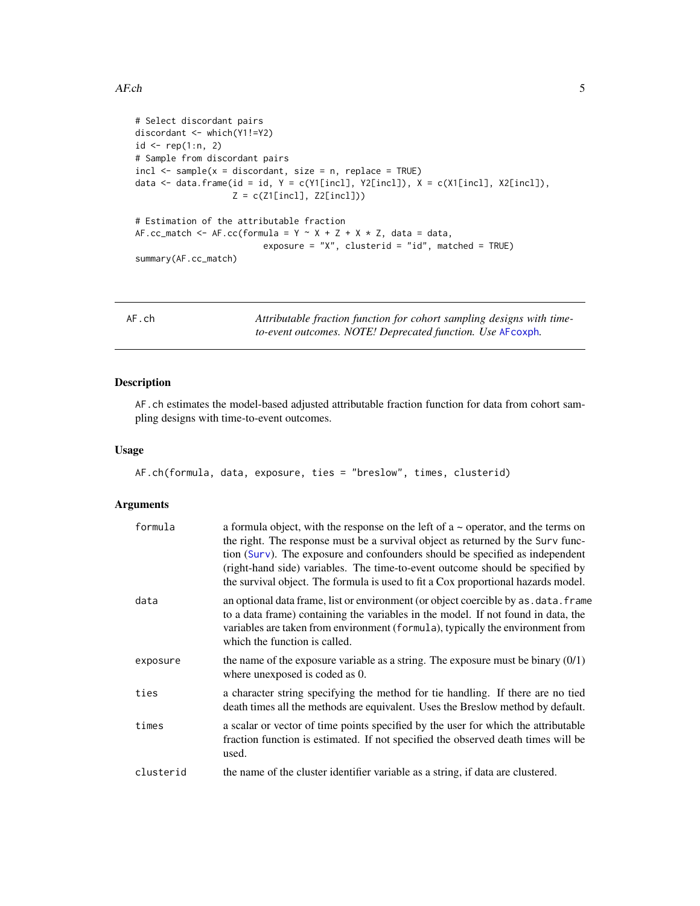```
# Select discordant pairs
discordant <- which(Y1!=Y2)
id \leq rep(1:n, 2)# Sample from discordant pairs
incl \leq - sample(x = discordant, size = n, replace = TRUE)data \leq data.frame(id = id, Y = c(Y1[incl], Y2[incl]), X = c(X1[incl], X2[incl]),
                    Z = c(Z1[\text{incl}], Z2[\text{incl}]))# Estimation of the attributable fraction
AF.cc_match <- AF.cc(formula = Y \sim X + Z + X \times Z, data = data,
                          exposure = "X'', clusterid = "id", matched = TRUE)
summary(AF.cc_match)
```
AF.ch *Attributable fraction function for cohort sampling designs with timeto-event outcomes. NOTE! Deprecated function. Use* [AFcoxph](#page-11-1)*.*

# Description

AF.ch estimates the model-based adjusted attributable fraction function for data from cohort sampling designs with time-to-event outcomes.

#### Usage

```
AF.ch(formula, data, exposure, ties = "breslow", times, clusterid)
```
#### Arguments

| formula   | a formula object, with the response on the left of $a \sim$ operator, and the terms on<br>the right. The response must be a survival object as returned by the Surv func-<br>tion (Surv). The exposure and confounders should be specified as independent<br>(right-hand side) variables. The time-to-event outcome should be specified by<br>the survival object. The formula is used to fit a Cox proportional hazards model. |
|-----------|---------------------------------------------------------------------------------------------------------------------------------------------------------------------------------------------------------------------------------------------------------------------------------------------------------------------------------------------------------------------------------------------------------------------------------|
| data      | an optional data frame, list or environment (or object coercible by as . data. frame<br>to a data frame) containing the variables in the model. If not found in data, the<br>variables are taken from environment (formula), typically the environment from<br>which the function is called.                                                                                                                                    |
| exposure  | the name of the exposure variable as a string. The exposure must be binary $(0/1)$<br>where unexposed is coded as 0.                                                                                                                                                                                                                                                                                                            |
| ties      | a character string specifying the method for tie handling. If there are no tied<br>death times all the methods are equivalent. Uses the Breslow method by default.                                                                                                                                                                                                                                                              |
| times     | a scalar or vector of time points specified by the user for which the attributable<br>fraction function is estimated. If not specified the observed death times will be<br>used.                                                                                                                                                                                                                                                |
| clusterid | the name of the cluster identifier variable as a string, if data are clustered.                                                                                                                                                                                                                                                                                                                                                 |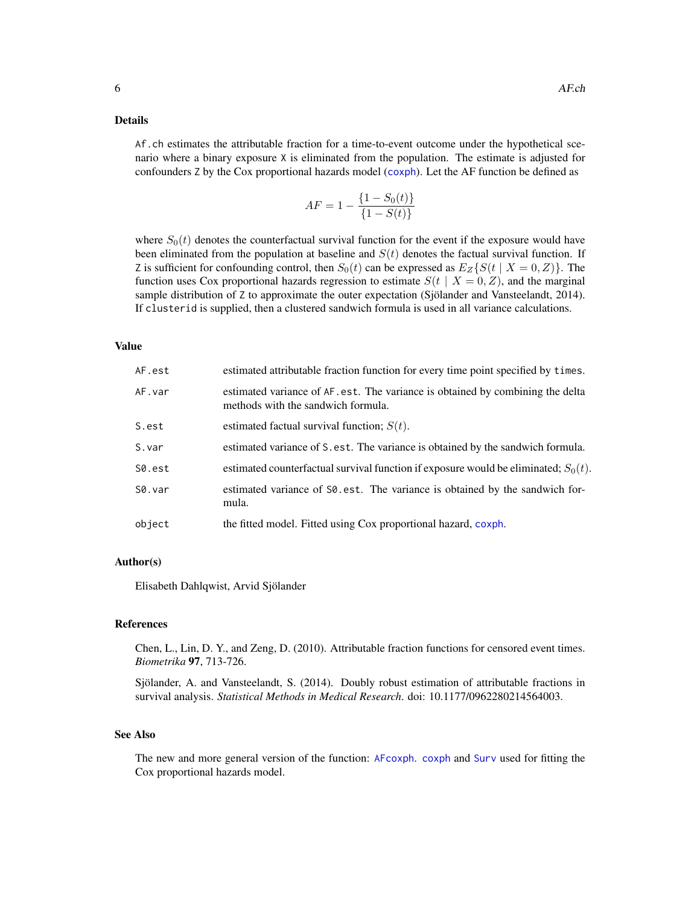#### <span id="page-5-0"></span>Details

Af.ch estimates the attributable fraction for a time-to-event outcome under the hypothetical scenario where a binary exposure X is eliminated from the population. The estimate is adjusted for confounders Z by the Cox proportional hazards model ([coxph](#page-0-0)). Let the AF function be defined as

$$
AF = 1 - \frac{\{1 - S_0(t)\}}{\{1 - S(t)\}}
$$

where  $S_0(t)$  denotes the counterfactual survival function for the event if the exposure would have been eliminated from the population at baseline and  $S(t)$  denotes the factual survival function. If Z is sufficient for confounding control, then  $S_0(t)$  can be expressed as  $E_Z\{S(t | X = 0, Z)\}\.$  The function uses Cox proportional hazards regression to estimate  $S(t | X = 0, Z)$ , and the marginal sample distribution of Z to approximate the outer expectation (Sjölander and Vansteelandt, 2014). If clusterid is supplied, then a clustered sandwich formula is used in all variance calculations.

#### Value

| AF.est | estimated attributable fraction function for every time point specified by times.                                    |
|--------|----------------------------------------------------------------------------------------------------------------------|
| AF.var | estimated variance of AF. est. The variance is obtained by combining the delta<br>methods with the sandwich formula. |
| S.est  | estimated factual survival function; $S(t)$ .                                                                        |
| S.var  | estimated variance of S. est. The variance is obtained by the sandwich formula.                                      |
| S0.est | estimated counterfactual survival function if exposure would be eliminated; $S_0(t)$ .                               |
| S0.var | estimated variance of S0.est. The variance is obtained by the sandwich for-<br>mula.                                 |
| object | the fitted model. Fitted using Cox proportional hazard, coxph.                                                       |
|        |                                                                                                                      |

#### Author(s)

Elisabeth Dahlqwist, Arvid Sjölander

#### References

Chen, L., Lin, D. Y., and Zeng, D. (2010). Attributable fraction functions for censored event times. *Biometrika* 97, 713-726.

Sjölander, A. and Vansteelandt, S. (2014). Doubly robust estimation of attributable fractions in survival analysis. *Statistical Methods in Medical Research*. doi: 10.1177/0962280214564003.

#### See Also

The new and more general version of the function: [AFcoxph](#page-11-1). [coxph](#page-0-0) and [Surv](#page-0-0) used for fitting the Cox proportional hazards model.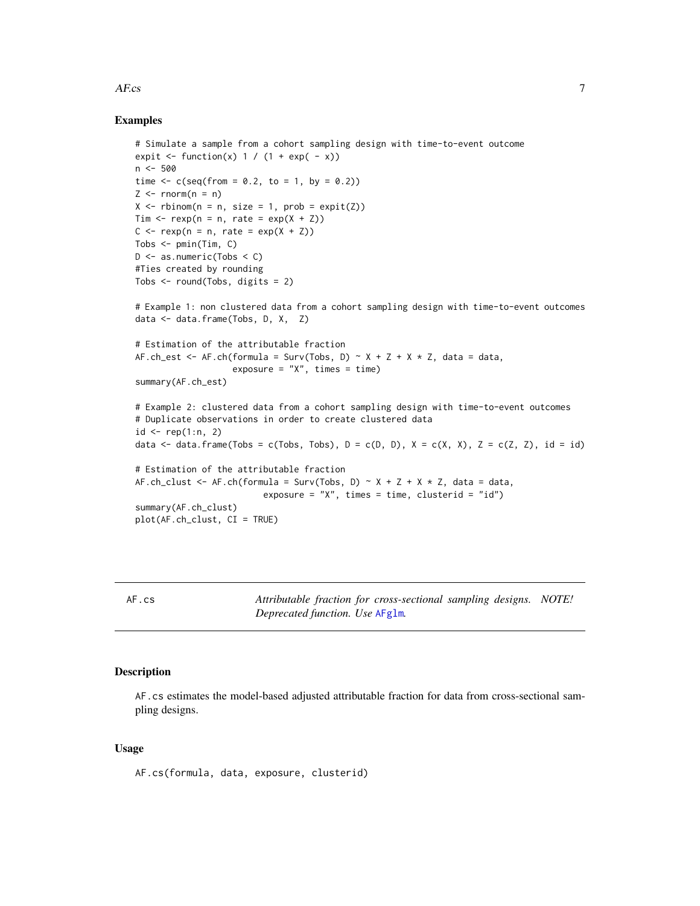#### <span id="page-6-0"></span> $AFcs$  7

# Examples

```
# Simulate a sample from a cohort sampling design with time-to-event outcome
expit \le function(x) 1 / (1 + exp( - x))
n < -500time \leq -c(\text{seq}(\text{from} = 0.2, \text{to} = 1, \text{by} = 0.2))Z \leq -\text{norm}(n = n)X \leftarrow \text{rbinom}(n = n, \text{ size} = 1, \text{ prob} = \text{expit}(Z))Tim \leq rexp(n = n, rate = exp(X + Z))
C \leq -\text{resp}(n = n, \text{ rate} = \text{exp}(X + Z))Tobs <- pmin(Tim, C)
D \le - as.numeric(Tobs \le C)
#Ties created by rounding
Tobs <- round(Tobs, digits = 2)
# Example 1: non clustered data from a cohort sampling design with time-to-event outcomes
data <- data.frame(Tobs, D, X, Z)
# Estimation of the attributable fraction
AF.ch_est <- AF.ch(formula = Surv(Tobs, D) ~ X + Z + X * Z, data = data,
                     exposure = ''X'', times = time)
summary(AF.ch_est)
# Example 2: clustered data from a cohort sampling design with time-to-event outcomes
# Duplicate observations in order to create clustered data
id \leq rep(1:n, 2)
data <- data.frame(Tobs = c(Tobs, Tobs), D = c(D, D), X = c(X, X), Z = c(Z, Z), id = id)
# Estimation of the attributable fraction
AF.ch_clust <- AF.ch(formula = Surv(Tobs, D) ~ X + Z + X + Z, data = data,
                           exposure = ''X'', times = time, clusterid = ''id')
summary(AF.ch_clust)
plot(AF.ch_clust, CI = TRUE)
```
AF.cs *Attributable fraction for cross-sectional sampling designs. NOTE! Deprecated function. Use* [AFglm](#page-13-1)*.*

# Description

AF.cs estimates the model-based adjusted attributable fraction for data from cross-sectional sampling designs.

#### Usage

AF.cs(formula, data, exposure, clusterid)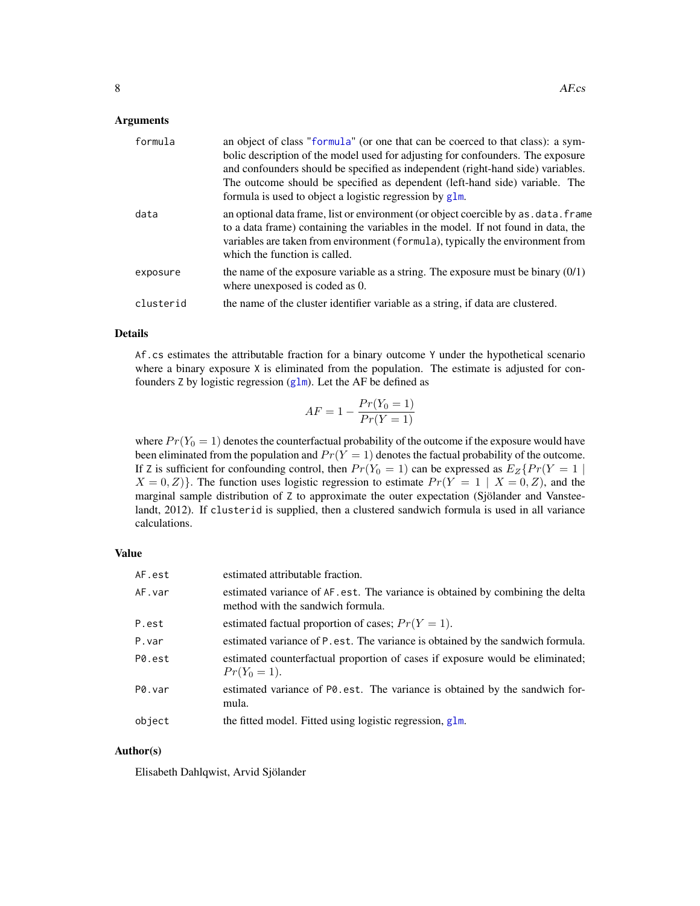#### <span id="page-7-0"></span>Arguments

| formula   | an object of class "formula" (or one that can be coerced to that class): a sym-<br>bolic description of the model used for adjusting for confounders. The exposure<br>and confounders should be specified as independent (right-hand side) variables.<br>The outcome should be specified as dependent (left-hand side) variable. The<br>formula is used to object a logistic regression by glm. |
|-----------|-------------------------------------------------------------------------------------------------------------------------------------------------------------------------------------------------------------------------------------------------------------------------------------------------------------------------------------------------------------------------------------------------|
| data      | an optional data frame, list or environment (or object coercible by as . data. frame<br>to a data frame) containing the variables in the model. If not found in data, the<br>variables are taken from environment (formula), typically the environment from<br>which the function is called.                                                                                                    |
| exposure  | the name of the exposure variable as a string. The exposure must be binary $(0/1)$<br>where unexposed is coded as 0.                                                                                                                                                                                                                                                                            |
| clusterid | the name of the cluster identifier variable as a string, if data are clustered.                                                                                                                                                                                                                                                                                                                 |

### Details

Af.cs estimates the attributable fraction for a binary outcome Y under the hypothetical scenario where a binary exposure X is eliminated from the population. The estimate is adjusted for confounders Z by logistic regression ([glm](#page-0-0)). Let the AF be defined as

$$
AF = 1 - \frac{Pr(Y_0 = 1)}{Pr(Y = 1)}
$$

where  $Pr(Y_0 = 1)$  denotes the counterfactual probability of the outcome if the exposure would have been eliminated from the population and  $Pr(Y = 1)$  denotes the factual probability of the outcome. If Z is sufficient for confounding control, then  $Pr(Y_0 = 1)$  can be expressed as  $E_Z\{Pr(Y = 1 |$  $X = 0, Z$ }. The function uses logistic regression to estimate  $Pr(Y = 1 | X = 0, Z)$ , and the marginal sample distribution of Z to approximate the outer expectation (Sjölander and Vansteelandt, 2012). If clusterid is supplied, then a clustered sandwich formula is used in all variance calculations.

# Value

| AF.est | estimated attributable fraction.                                                                                    |
|--------|---------------------------------------------------------------------------------------------------------------------|
| AF.var | estimated variance of AF. est. The variance is obtained by combining the delta<br>method with the sandwich formula. |
| P.est  | estimated factual proportion of cases; $Pr(Y = 1)$ .                                                                |
| P.var  | estimated variance of P. est. The variance is obtained by the sandwich formula.                                     |
| P0.est | estimated counterfactual proportion of cases if exposure would be eliminated;<br>$Pr(Y_0 = 1).$                     |
| P0.var | estimated variance of PO. est. The variance is obtained by the sandwich for-<br>mula.                               |
| object | the fitted model. Fitted using logistic regression, glm.                                                            |

# Author(s)

Elisabeth Dahlqwist, Arvid Sjölander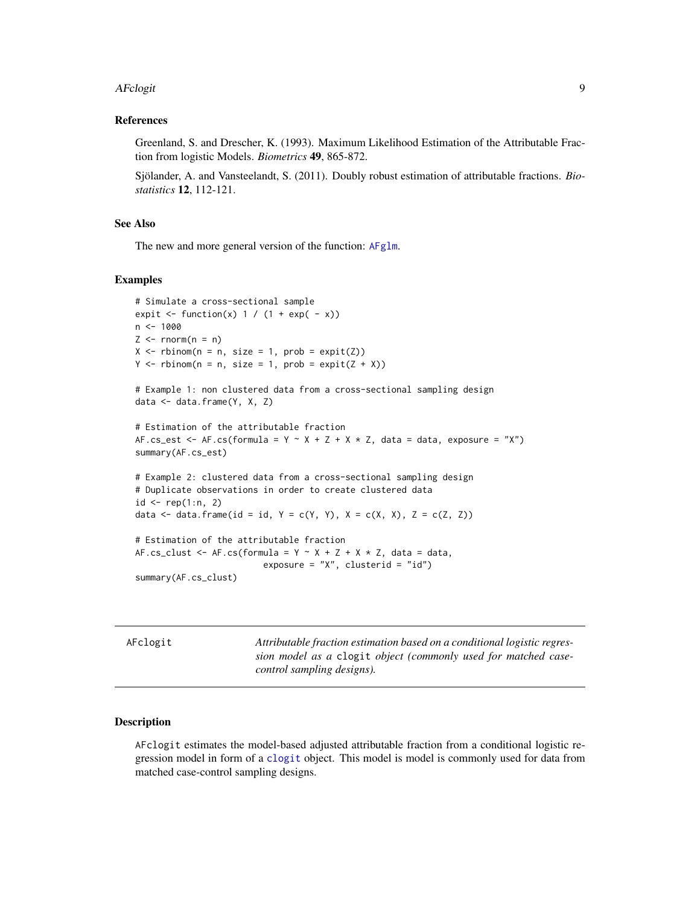#### <span id="page-8-0"></span>AFclogit 9

#### References

Greenland, S. and Drescher, K. (1993). Maximum Likelihood Estimation of the Attributable Fraction from logistic Models. *Biometrics* 49, 865-872.

Sjölander, A. and Vansteelandt, S. (2011). Doubly robust estimation of attributable fractions. *Biostatistics* 12, 112-121.

# See Also

The new and more general version of the function: [AFglm](#page-13-1).

#### Examples

```
# Simulate a cross-sectional sample
expit \le function(x) 1 / (1 + exp( - x))
n < -1000Z \leq -rnorm(n = n)X \leq - rbinom(n = n, size = 1, prob = expit(Z))
Y \leq -rbinom{n = n, size = 1, prob = expit(Z + X))# Example 1: non clustered data from a cross-sectional sampling design
data <- data.frame(Y, X, Z)
# Estimation of the attributable fraction
AF.cs_est <- AF.cs(formula = Y \sim X + Z + X + Z, data = data, exposure = "X")
summary(AF.cs_est)
# Example 2: clustered data from a cross-sectional sampling design
# Duplicate observations in order to create clustered data
id \leq rep(1:n, 2)data \leq data.frame(id = id, Y = c(Y, Y), X = c(X, X), Z = c(Z, Z))
# Estimation of the attributable fraction
AF.cs_clust <- AF.cs(formula = Y \sim X + Z + X \times Z, data = data,
                          exposure = "X", clusterid = "id")
summary(AF.cs_clust)
```
<span id="page-8-1"></span>AFclogit *Attributable fraction estimation based on a conditional logistic regression model as a* clogit *object (commonly used for matched casecontrol sampling designs).*

#### Description

AFclogit estimates the model-based adjusted attributable fraction from a conditional logistic regression model in form of a [clogit](#page-0-0) object. This model is model is commonly used for data from matched case-control sampling designs.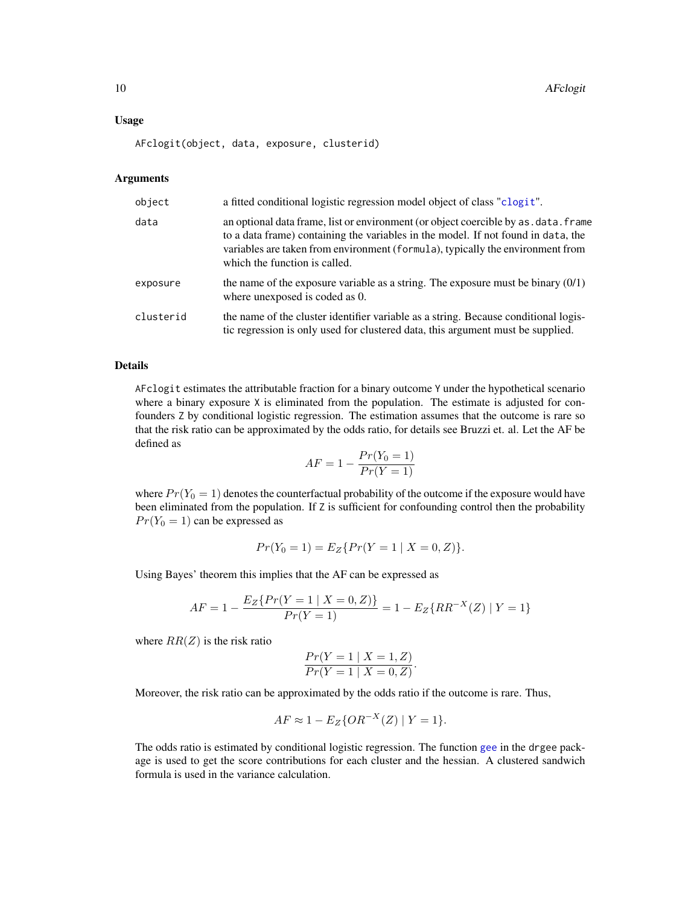#### <span id="page-9-0"></span>Usage

AFclogit(object, data, exposure, clusterid)

#### Arguments

| object    | a fitted conditional logistic regression model object of class "clogit".                                                                                                                                                                                                                     |
|-----------|----------------------------------------------------------------------------------------------------------------------------------------------------------------------------------------------------------------------------------------------------------------------------------------------|
| data      | an optional data frame, list or environment (or object coercible by as . data. frame<br>to a data frame) containing the variables in the model. If not found in data, the<br>variables are taken from environment (formula), typically the environment from<br>which the function is called. |
| exposure  | the name of the exposure variable as a string. The exposure must be binary $(0/1)$<br>where unexposed is coded as 0.                                                                                                                                                                         |
| clusterid | the name of the cluster identifier variable as a string. Because conditional logis-<br>tic regression is only used for clustered data, this argument must be supplied.                                                                                                                       |

#### Details

AFclogit estimates the attributable fraction for a binary outcome Y under the hypothetical scenario where a binary exposure X is eliminated from the population. The estimate is adjusted for confounders Z by conditional logistic regression. The estimation assumes that the outcome is rare so that the risk ratio can be approximated by the odds ratio, for details see Bruzzi et. al. Let the AF be defined as

$$
AF = 1 - \frac{Pr(Y_0 = 1)}{Pr(Y = 1)}
$$

where  $Pr(Y_0 = 1)$  denotes the counterfactual probability of the outcome if the exposure would have been eliminated from the population. If Z is sufficient for confounding control then the probability  $Pr(Y_0 = 1)$  can be expressed as

$$
Pr(Y_0 = 1) = E_Z\{Pr(Y = 1 \mid X = 0, Z)\}.
$$

Using Bayes' theorem this implies that the AF can be expressed as

$$
AF = 1 - \frac{E_Z\{Pr(Y=1 \mid X=0,Z)\}}{Pr(Y=1)} = 1 - E_Z\{RR^{-X}(Z) \mid Y=1\}
$$

where  $RR(Z)$  is the risk ratio

$$
\frac{Pr(Y = 1 | X = 1, Z)}{Pr(Y = 1 | X = 0, Z)}.
$$

Moreover, the risk ratio can be approximated by the odds ratio if the outcome is rare. Thus,

$$
AF \approx 1 - E_Z\{OR^{-X}(Z) \mid Y = 1\}.
$$

The odds ratio is estimated by conditional logistic regression. The function [gee](#page-0-0) in the drgee package is used to get the score contributions for each cluster and the hessian. A clustered sandwich formula is used in the variance calculation.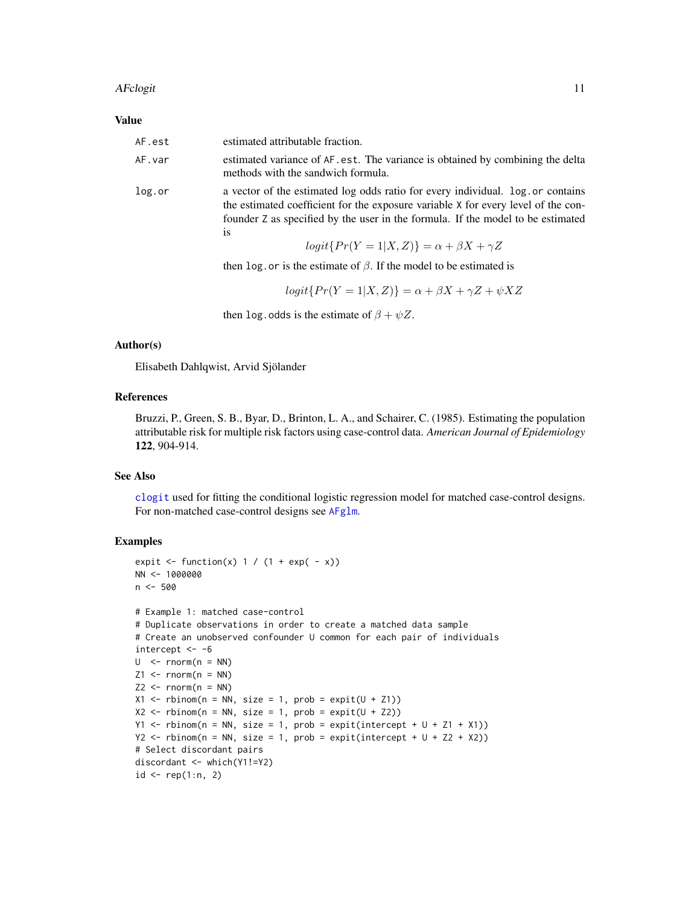#### <span id="page-10-0"></span>AFclogit 11

#### Value

| AF.est | estimated attributable fraction.                                                                                                                                                                                                                                     |
|--------|----------------------------------------------------------------------------------------------------------------------------------------------------------------------------------------------------------------------------------------------------------------------|
| AF.var | estimated variance of AF. est. The variance is obtained by combining the delta<br>methods with the sandwich formula.                                                                                                                                                 |
| log.or | a vector of the estimated log odds ratio for every individual. log. or contains<br>the estimated coefficient for the exposure variable X for every level of the con-<br>founder Z as specified by the user in the formula. If the model to be estimated<br><b>1S</b> |
|        | $logit\{Pr(Y=1 X,Z)\} = \alpha + \beta X + \gamma Z$                                                                                                                                                                                                                 |

then log. or is the estimate of  $\beta$ . If the model to be estimated is

 $logit\{Pr(Y=1|X,Z)\} = \alpha + \beta X + \gamma Z + \psi XZ$ 

then log.odds is the estimate of  $\beta + \psi Z$ .

# Author(s)

Elisabeth Dahlqwist, Arvid Sjölander

# References

Bruzzi, P., Green, S. B., Byar, D., Brinton, L. A., and Schairer, C. (1985). Estimating the population attributable risk for multiple risk factors using case-control data. *American Journal of Epidemiology* 122, 904-914.

#### See Also

[clogit](#page-0-0) used for fitting the conditional logistic regression model for matched case-control designs. For non-matched case-control designs see [AFglm](#page-13-1).

# Examples

```
expit \leftarrow function(x) 1 / (1 + exp( - x))
NN <- 1000000
n <- 500
# Example 1: matched case-control
# Duplicate observations in order to create a matched data sample
# Create an unobserved confounder U common for each pair of individuals
intercept <- -6
U \le - rnorm(n = NN)Z1 <- rnorm(n = NN)
Z2 \le - rnorm(n = NN)X1 \leq - rbinom(n = NN, size = 1, prob = expit(U + Z1))
X2 \le rbinom(n = NN, size = 1, prob = expit(U + Z2))
Y1 \le- rbinom(n = NN, size = 1, prob = expit(intercept + U + Z1 + X1))
Y2 <- rbinom(n = NN, size = 1, prob = expit(intercept + U + Z2 + X2))
# Select discordant pairs
discordant <- which(Y1!=Y2)
id \leq rep(1:n, 2)
```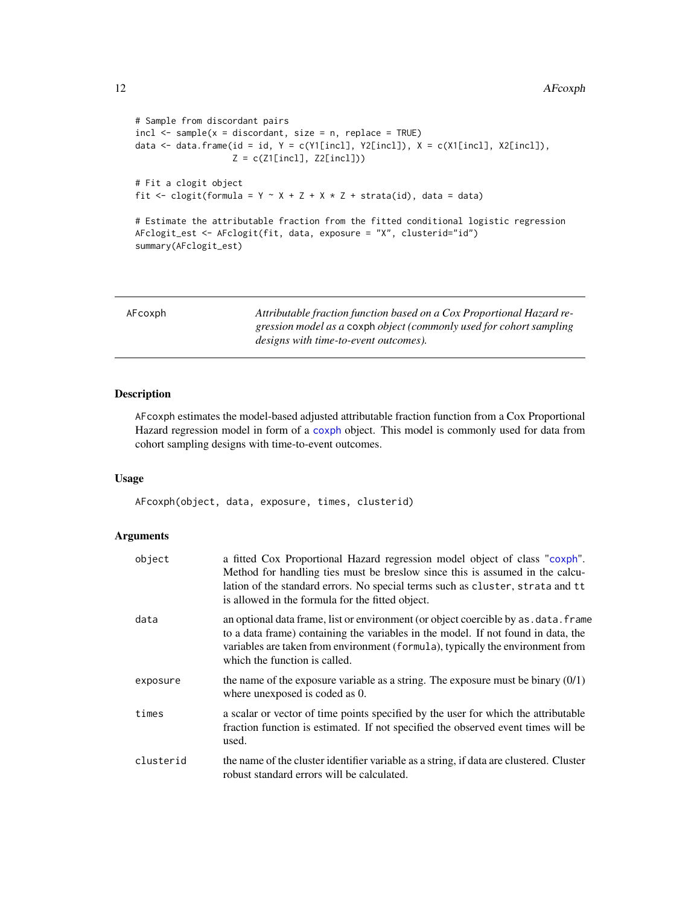```
# Sample from discordant pairs
incl \leq same sample(x = discordant, size = n, replace = TRUE)
data <- data.frame(id = id, Y = c(Y1[incl], Y2[incl]), X = c(X1[incl], X2[incl]),
                    Z = c(Z1[\text{incl}], Z2[\text{incl}]))# Fit a clogit object
fit \le clogit(formula = Y \sim X + Z + X \star Z + strata(id), data = data)
# Estimate the attributable fraction from the fitted conditional logistic regression
AFclogit_est <- AFclogit(fit, data, exposure = "X", clusterid="id")
```

```
summary(AFclogit_est)
```
<span id="page-11-1"></span>

| AFcoxph | Attributable fraction function based on a Cox Proportional Hazard re- |
|---------|-----------------------------------------------------------------------|
|         | gression model as a coxph object (commonly used for cohort sampling   |
|         | designs with time-to-event outcomes).                                 |

# Description

AFcoxph estimates the model-based adjusted attributable fraction function from a Cox Proportional Hazard regression model in form of a [coxph](#page-0-0) object. This model is commonly used for data from cohort sampling designs with time-to-event outcomes.

# Usage

AFcoxph(object, data, exposure, times, clusterid)

# Arguments

| object    | a fitted Cox Proportional Hazard regression model object of class "coxph".<br>Method for handling ties must be breslow since this is assumed in the calcu-<br>lation of the standard errors. No special terms such as cluster, strata and tt<br>is allowed in the formula for the fitted object. |
|-----------|--------------------------------------------------------------------------------------------------------------------------------------------------------------------------------------------------------------------------------------------------------------------------------------------------|
| data      | an optional data frame, list or environment (or object coercible by as . data. frame<br>to a data frame) containing the variables in the model. If not found in data, the<br>variables are taken from environment (formula), typically the environment from<br>which the function is called.     |
| exposure  | the name of the exposure variable as a string. The exposure must be binary $(0/1)$<br>where unexposed is coded as 0.                                                                                                                                                                             |
| times     | a scalar or vector of time points specified by the user for which the attributable<br>fraction function is estimated. If not specified the observed event times will be<br>used.                                                                                                                 |
| clusterid | the name of the cluster identifier variable as a string, if data are clustered. Cluster<br>robust standard errors will be calculated.                                                                                                                                                            |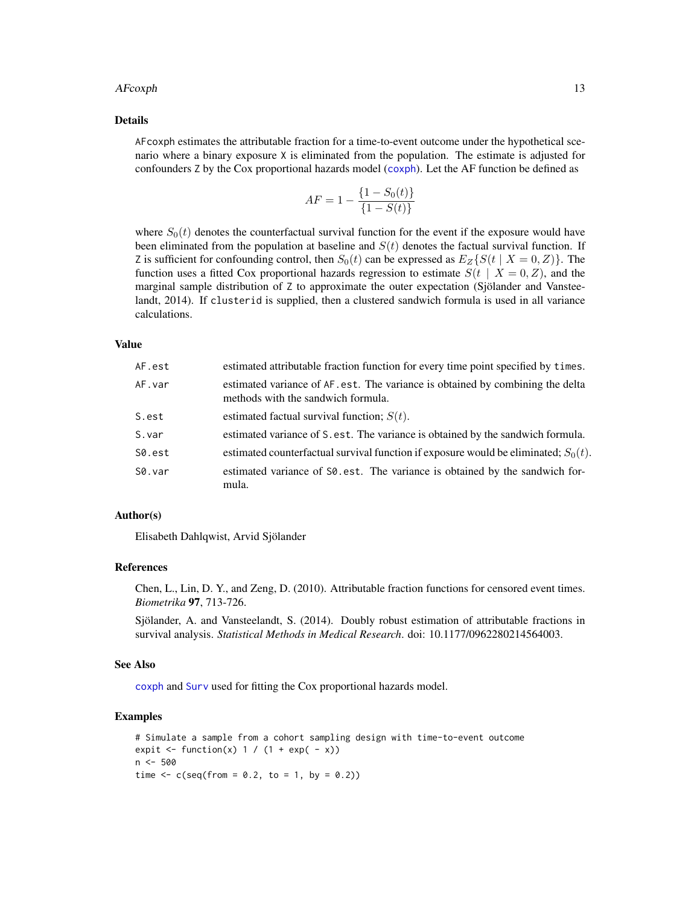#### <span id="page-12-0"></span>AFcoxph 13

#### Details

AFcoxph estimates the attributable fraction for a time-to-event outcome under the hypothetical scenario where a binary exposure X is eliminated from the population. The estimate is adjusted for confounders Z by the Cox proportional hazards model ([coxph](#page-0-0)). Let the AF function be defined as

$$
AF = 1 - \frac{\{1 - S_0(t)\}}{\{1 - S(t)\}}
$$

where  $S_0(t)$  denotes the counterfactual survival function for the event if the exposure would have been eliminated from the population at baseline and  $S(t)$  denotes the factual survival function. If Z is sufficient for confounding control, then  $S_0(t)$  can be expressed as  $E_Z\{S(t | X = 0, Z)\}\.$  The function uses a fitted Cox proportional hazards regression to estimate  $S(t | X = 0, Z)$ , and the marginal sample distribution of Z to approximate the outer expectation (Sjölander and Vansteelandt, 2014). If clusterid is supplied, then a clustered sandwich formula is used in all variance calculations.

#### Value

| AF.est | estimated attributable fraction function for every time point specified by times.                                   |
|--------|---------------------------------------------------------------------------------------------------------------------|
| AF.var | estimated variance of AF.est. The variance is obtained by combining the delta<br>methods with the sandwich formula. |
| S.est  | estimated factual survival function; $S(t)$ .                                                                       |
| S.var  | estimated variance of S. est. The variance is obtained by the sandwich formula.                                     |
| S0.est | estimated counterfactual survival function if exposure would be eliminated; $S_0(t)$ .                              |
| S0.var | estimated variance of SO. est. The variance is obtained by the sandwich for-<br>mula.                               |

#### Author(s)

Elisabeth Dahlqwist, Arvid Sjölander

#### References

Chen, L., Lin, D. Y., and Zeng, D. (2010). Attributable fraction functions for censored event times. *Biometrika* 97, 713-726.

Sjölander, A. and Vansteelandt, S. (2014). Doubly robust estimation of attributable fractions in survival analysis. *Statistical Methods in Medical Research*. doi: 10.1177/0962280214564003.

#### See Also

[coxph](#page-0-0) and [Surv](#page-0-0) used for fitting the Cox proportional hazards model.

#### Examples

```
# Simulate a sample from a cohort sampling design with time-to-event outcome
expit \le function(x) 1 / (1 + exp( - x))
n < -500time \leq c(\text{seq}(\text{from} = 0.2, \text{to} = 1, \text{by} = 0.2))
```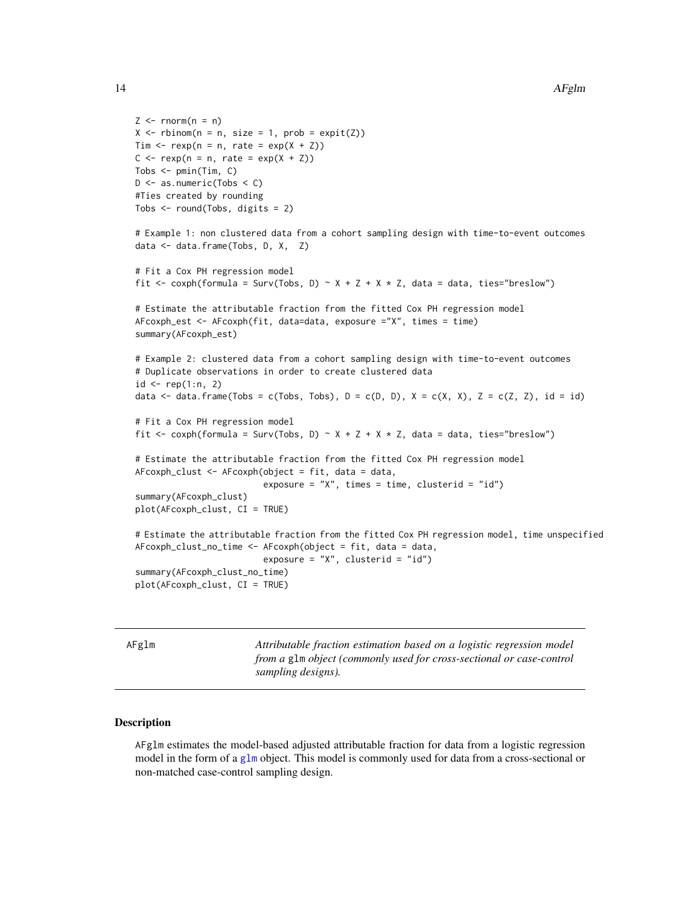```
Z \leq -rnorm(n = n)X \leq - rbinom(n = n, size = 1, prob = expit(Z))
Tim \leq rexp(n = n, rate = exp(X + Z))
C \leq -\text{resp}(n = n, \text{ rate} = \text{exp}(X + Z))Tobs \leq pmin(Tim, C)
D \le - as.numeric(Tobs \le C)
#Ties created by rounding
Tobs <- round(Tobs, digits = 2)
# Example 1: non clustered data from a cohort sampling design with time-to-event outcomes
data <- data.frame(Tobs, D, X, Z)
# Fit a Cox PH regression model
fit \leq coxph(formula = Surv(Tobs, D) \sim X + Z + X \star Z, data = data, ties="breslow")
# Estimate the attributable fraction from the fitted Cox PH regression model
AFcoxph_est <- AFcoxph(fit, data=data, exposure ="X", times = time)
summary(AFcoxph_est)
# Example 2: clustered data from a cohort sampling design with time-to-event outcomes
# Duplicate observations in order to create clustered data
id \leq rep(1:n, 2)data \le - data.frame(Tobs = c(Tobs, Tobs), D = c(D, D), X = c(X, X), Z = c(Z, Z), id = id)
# Fit a Cox PH regression model
fit \leq coxph(formula = Surv(Tobs, D) \sim X + Z + X \times Z, data = data, ties="breslow")
# Estimate the attributable fraction from the fitted Cox PH regression model
AFcoxph_clust <- AFcoxph(object = fit, data = data,
                          exposure = "X", times = time, clusterid = "id")
summary(AFcoxph_clust)
plot(AFcoxph_clust, CI = TRUE)
# Estimate the attributable fraction from the fitted Cox PH regression model, time unspecified
AFcoxph_clust_no_time <- AFcoxph(object = fit, data = data,
                          exposure = "X", clusterid = "id")
summary(AFcoxph_clust_no_time)
plot(AFcoxph_clust, CI = TRUE)
```
<span id="page-13-1"></span>AFglm *Attributable fraction estimation based on a logistic regression model from a* glm *object (commonly used for cross-sectional or case-control sampling designs).*

#### Description

AFglm estimates the model-based adjusted attributable fraction for data from a logistic regression model in the form of a [glm](#page-0-0) object. This model is commonly used for data from a cross-sectional or non-matched case-control sampling design.

<span id="page-13-0"></span>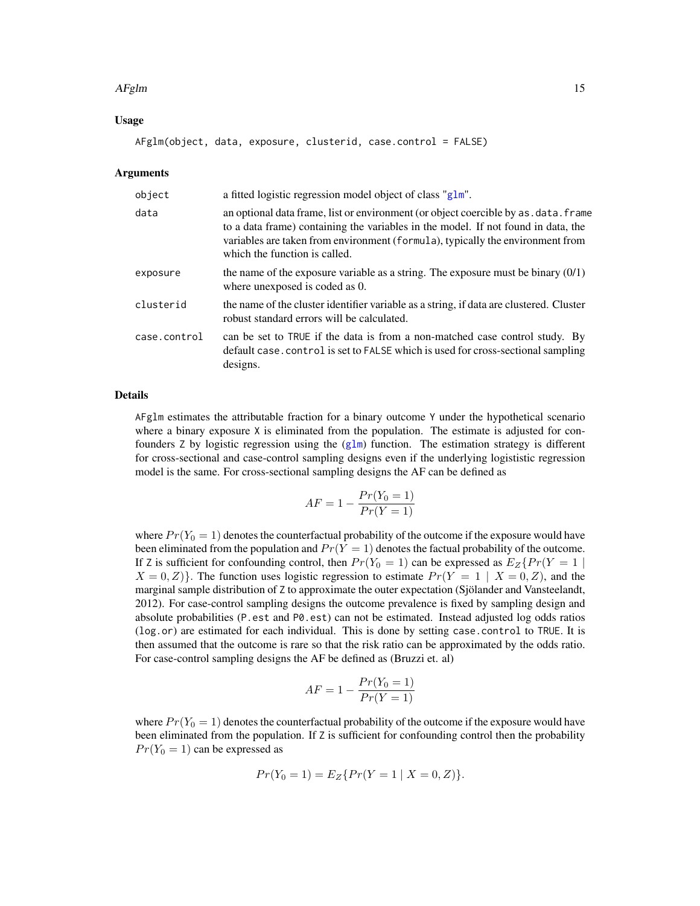#### <span id="page-14-0"></span> $AFglm$  15

# Usage

AFglm(object, data, exposure, clusterid, case.control = FALSE)

#### Arguments

| object       | a fitted logistic regression model object of class "glm".                                                                                                                                                                                                                                    |
|--------------|----------------------------------------------------------------------------------------------------------------------------------------------------------------------------------------------------------------------------------------------------------------------------------------------|
| data         | an optional data frame, list or environment (or object coercible by as . data. frame<br>to a data frame) containing the variables in the model. If not found in data, the<br>variables are taken from environment (formula), typically the environment from<br>which the function is called. |
| exposure     | the name of the exposure variable as a string. The exposure must be binary $(0/1)$<br>where unexposed is coded as 0.                                                                                                                                                                         |
| clusterid    | the name of the cluster identifier variable as a string, if data are clustered. Cluster<br>robust standard errors will be calculated.                                                                                                                                                        |
| case.control | can be set to TRUE if the data is from a non-matched case control study. By<br>default case. control is set to FALSE which is used for cross-sectional sampling<br>designs.                                                                                                                  |

# Details

AFglm estimates the attributable fraction for a binary outcome Y under the hypothetical scenario where a binary exposure X is eliminated from the population. The estimate is adjusted for confounders  $Z$  by logistic regression using the  $(g1m)$  function. The estimation strategy is different for cross-sectional and case-control sampling designs even if the underlying logististic regression model is the same. For cross-sectional sampling designs the AF can be defined as

$$
AF = 1 - \frac{Pr(Y_0 = 1)}{Pr(Y = 1)}
$$

where  $Pr(Y_0 = 1)$  denotes the counterfactual probability of the outcome if the exposure would have been eliminated from the population and  $Pr(Y = 1)$  denotes the factual probability of the outcome. If Z is sufficient for confounding control, then  $Pr(Y_0 = 1)$  can be expressed as  $E_Z\{Pr(Y = 1 |$  $X = 0, Z$ }. The function uses logistic regression to estimate  $Pr(Y = 1 | X = 0, Z)$ , and the marginal sample distribution of Z to approximate the outer expectation (Sjölander and Vansteelandt, 2012). For case-control sampling designs the outcome prevalence is fixed by sampling design and absolute probabilities (P.est and P0.est) can not be estimated. Instead adjusted log odds ratios (log.or) are estimated for each individual. This is done by setting case.control to TRUE. It is then assumed that the outcome is rare so that the risk ratio can be approximated by the odds ratio. For case-control sampling designs the AF be defined as (Bruzzi et. al)

$$
AF = 1 - \frac{Pr(Y_0 = 1)}{Pr(Y = 1)}
$$

where  $Pr(Y_0 = 1)$  denotes the counterfactual probability of the outcome if the exposure would have been eliminated from the population. If Z is sufficient for confounding control then the probability  $Pr(Y_0 = 1)$  can be expressed as

$$
Pr(Y_0 = 1) = E_Z\{Pr(Y = 1 \mid X = 0, Z)\}.
$$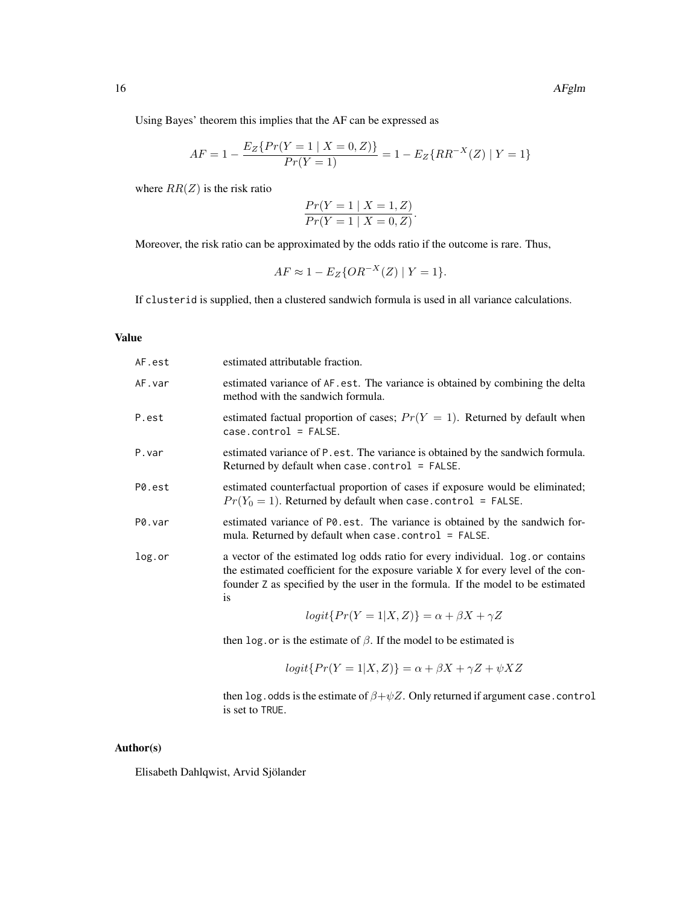Using Bayes' theorem this implies that the AF can be expressed as

$$
AF = 1 - \frac{E_Z\{Pr(Y=1 \mid X=0,Z)\}}{Pr(Y=1)} = 1 - E_Z\{RR^{-X}(Z) \mid Y=1\}
$$

where  $RR(Z)$  is the risk ratio

$$
\frac{Pr(Y = 1 | X = 1, Z)}{Pr(Y = 1 | X = 0, Z)}.
$$

Moreover, the risk ratio can be approximated by the odds ratio if the outcome is rare. Thus,

$$
AF \approx 1 - E_Z\{OR^{-X}(Z) \mid Y = 1\}.
$$

If clusterid is supplied, then a clustered sandwich formula is used in all variance calculations.

#### Value

| AF.est | estimated attributable fraction.                                                                                                                                                                                                                                                                                                      |
|--------|---------------------------------------------------------------------------------------------------------------------------------------------------------------------------------------------------------------------------------------------------------------------------------------------------------------------------------------|
| AF.var | estimated variance of AF.est. The variance is obtained by combining the delta<br>method with the sandwich formula.                                                                                                                                                                                                                    |
| P.est  | estimated factual proportion of cases; $Pr(Y = 1)$ . Returned by default when<br>$casecontrol = FALSE.$                                                                                                                                                                                                                               |
| P.var  | estimated variance of P. est. The variance is obtained by the sandwich formula.<br>Returned by default when case.control = $FALSE.$                                                                                                                                                                                                   |
| P0.est | estimated counterfactual proportion of cases if exposure would be eliminated;<br>$Pr(Y_0 = 1)$ . Returned by default when case.control = FALSE.                                                                                                                                                                                       |
| P0.var | estimated variance of PO. est. The variance is obtained by the sandwich for-<br>mula. Returned by default when case . control $=$ FALSE.                                                                                                                                                                                              |
| log.or | a vector of the estimated log odds ratio for every individual. log.or contains<br>the estimated coefficient for the exposure variable X for every level of the con-<br>founder Z as specified by the user in the formula. If the model to be estimated<br>is                                                                          |
|        | $\cdots$ (i.e. $\cdots$ ) $\cdots$ ) $\cdots$ ) $\cdots$ ) $\cdots$ $\cdots$ $\cdots$ $\cdots$ $\cdots$ $\cdots$ $\cdots$ $\cdots$ $\cdots$ $\cdots$ $\cdots$ $\cdots$ $\cdots$ $\cdots$ $\cdots$ $\cdots$ $\cdots$ $\cdots$ $\cdots$ $\cdots$ $\cdots$ $\cdots$ $\cdots$ $\cdots$ $\cdots$ $\cdots$ $\cdots$ $\cdots$ $\cdots$ $\cd$ |

$$
logit\{Pr(Y=1|X,Z)\} = \alpha + \beta X + \gamma Z
$$

then log.or is the estimate of  $\beta$ . If the model to be estimated is

$$
logit\{Pr(Y=1|X,Z)\} = \alpha + \beta X + \gamma Z + \psi XZ
$$

then log.odds is the estimate of  $\beta + \psi Z$ . Only returned if argument case.control is set to TRUE.

# Author(s)

Elisabeth Dahlqwist, Arvid Sjölander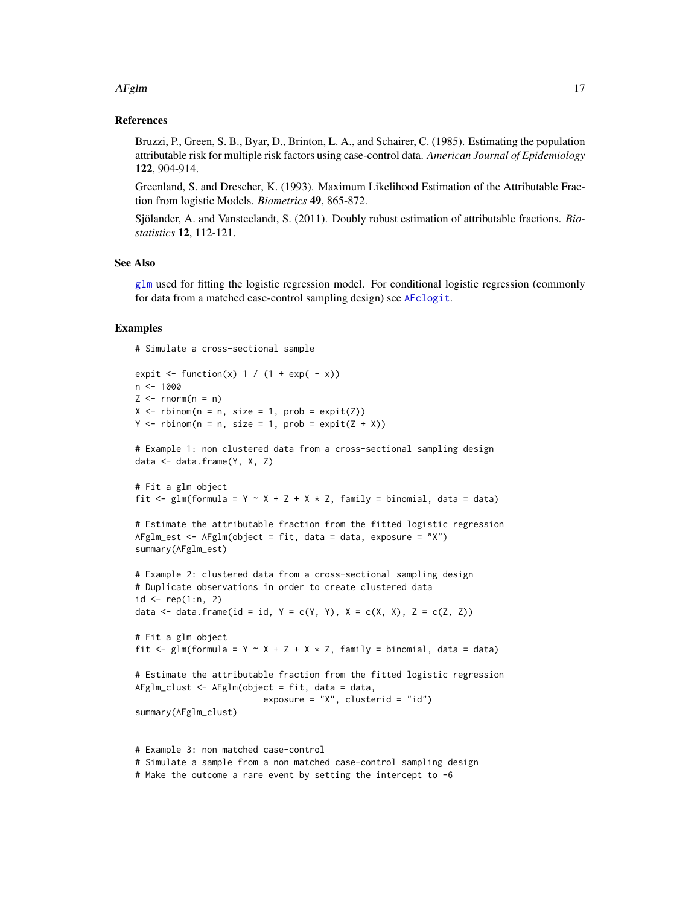#### <span id="page-16-0"></span> $AFglm$  17

#### References

Bruzzi, P., Green, S. B., Byar, D., Brinton, L. A., and Schairer, C. (1985). Estimating the population attributable risk for multiple risk factors using case-control data. *American Journal of Epidemiology* 122, 904-914.

Greenland, S. and Drescher, K. (1993). Maximum Likelihood Estimation of the Attributable Fraction from logistic Models. *Biometrics* 49, 865-872.

Sjölander, A. and Vansteelandt, S. (2011). Doubly robust estimation of attributable fractions. *Biostatistics* 12, 112-121.

# See Also

[glm](#page-0-0) used for fitting the logistic regression model. For conditional logistic regression (commonly for data from a matched case-control sampling design) see [AFclogit](#page-8-1).

# Examples

# Simulate a cross-sectional sample

```
expit \le function(x) 1 / (1 + exp( - x))
n < -1000Z \leq -rnorm(n = n)X \leq - rbinom(n = n, size = 1, prob = expit(Z))
Y \leq -r \text{binom}(n = n, \text{ size} = 1, \text{ prob} = \text{expit}(Z + X))# Example 1: non clustered data from a cross-sectional sampling design
data <- data.frame(Y, X, Z)
# Fit a glm object
fit <- glm(formula = Y ~ X + Z + X * Z, family = binomial, data = data)
# Estimate the attributable fraction from the fitted logistic regression
AFglm_est <- AFglm(object = fit, data = data, exposure = "X")
summary(AFglm_est)
# Example 2: clustered data from a cross-sectional sampling design
# Duplicate observations in order to create clustered data
id \leq rep(1:n, 2)data \le data.frame(id = id, Y = c(Y, Y), X = c(X, X), Z = c(Z, Z))
# Fit a glm object
fit \leq glm(formula = Y \sim X + Z + X \star Z, family = binomial, data = data)
# Estimate the attributable fraction from the fitted logistic regression
AFglm_clust <- AFglm(object = fit, data = data,
                          exposure = ''X'', clusterid = ''id')
summary(AFglm_clust)
# Example 3: non matched case-control
# Simulate a sample from a non matched case-control sampling design
```
# Make the outcome a rare event by setting the intercept to -6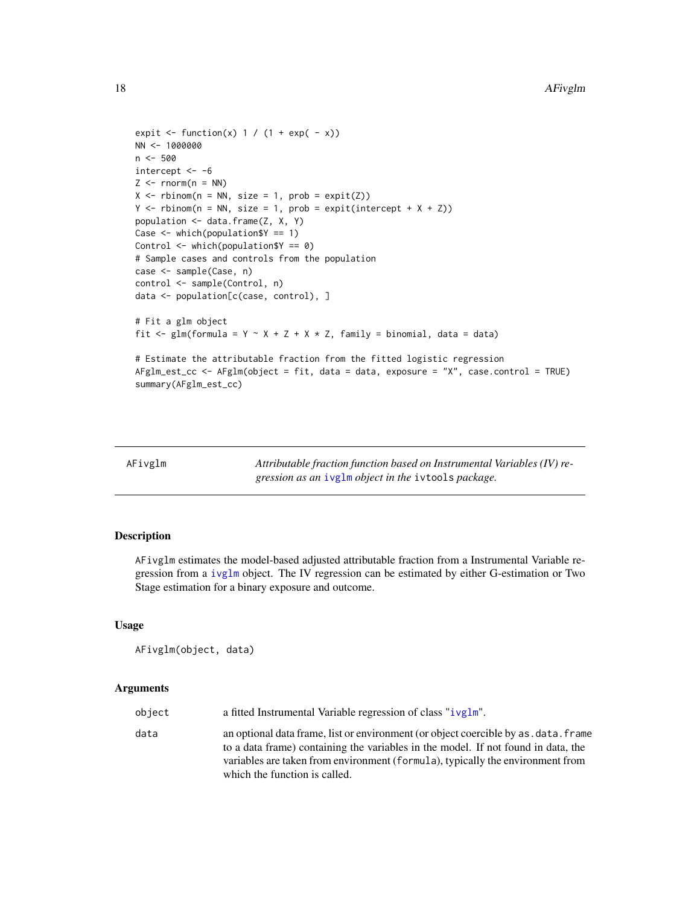```
expit \le function(x) 1 / (1 + exp( - x))
NN <- 1000000
n < -500intercept < -6Z \le - rnorm(n = NN)X \leq - rbinom(n = NN, size = 1, prob = expit(Z))
Y \leq - rbinom(n = NN, size = 1, prob = expit(intercept + X + Z))
population <- data.frame(Z, X, Y)
Case <- which(population$Y == 1)
Control <- which(population$Y == 0)
# Sample cases and controls from the population
case <- sample(Case, n)
control <- sample(Control, n)
data <- population[c(case, control), ]
# Fit a glm object
fit <- glm(formula = Y \sim X + Z + X + Z, family = binomial, data = data)
# Estimate the attributable fraction from the fitted logistic regression
AFglm_est_cc <- AFglm(object = fit, data = data, exposure = "X", case.control = TRUE)
summary(AFglm_est_cc)
```
<span id="page-17-1"></span>

|  | AFivg1m |
|--|---------|
|  |         |

Attributable fraction function based on Instrumental Variables (IV) re*gression as an* [ivglm](#page-0-0) *object in the* ivtools *package.*

# Description

AFivglm estimates the model-based adjusted attributable fraction from a Instrumental Variable regression from a [ivglm](#page-0-0) object. The IV regression can be estimated by either G-estimation or Two Stage estimation for a binary exposure and outcome.

#### Usage

```
AFivglm(object, data)
```
#### Arguments

| object | a fitted Instrumental Variable regression of class "ivglm".                                                                                                                                                                                                                                  |
|--------|----------------------------------------------------------------------------------------------------------------------------------------------------------------------------------------------------------------------------------------------------------------------------------------------|
| data   | an optional data frame, list or environment (or object coercible by as . data. frame<br>to a data frame) containing the variables in the model. If not found in data, the<br>variables are taken from environment (formula), typically the environment from<br>which the function is called. |

<span id="page-17-0"></span>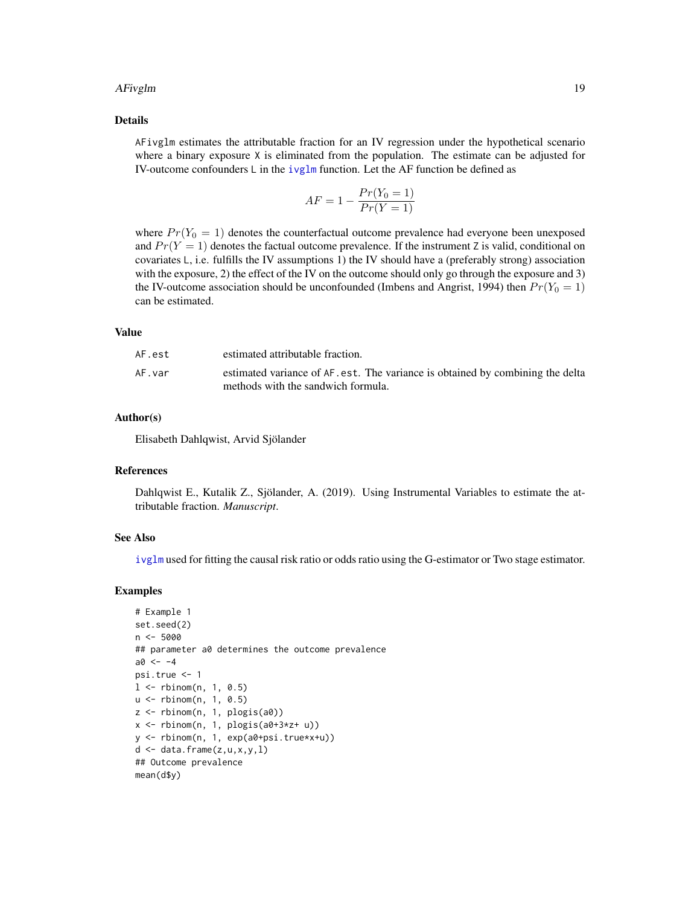#### <span id="page-18-0"></span>AFivglm and the contract of the contract of the contract of the contract of the contract of the contract of the contract of the contract of the contract of the contract of the contract of the contract of the contract of th

### Details

AFivglm estimates the attributable fraction for an IV regression under the hypothetical scenario where a binary exposure X is eliminated from the population. The estimate can be adjusted for IV-outcome confounders  $\mathsf L$  in the [ivglm](#page-0-0) function. Let the AF function be defined as

$$
AF = 1 - \frac{Pr(Y_0 = 1)}{Pr(Y = 1)}
$$

where  $Pr(Y_0 = 1)$  denotes the counterfactual outcome prevalence had everyone been unexposed and  $Pr(Y = 1)$  denotes the factual outcome prevalence. If the instrument Z is valid, conditional on covariates L, i.e. fulfills the IV assumptions 1) the IV should have a (preferably strong) association with the exposure, 2) the effect of the IV on the outcome should only go through the exposure and 3) the IV-outcome association should be unconfounded (Imbens and Angrist, 1994) then  $Pr(Y_0 = 1)$ can be estimated.

# Value

| AF.est | estimated attributable fraction.                                                                                     |
|--------|----------------------------------------------------------------------------------------------------------------------|
| AF.var | estimated variance of AF. est. The variance is obtained by combining the delta<br>methods with the sandwich formula. |

#### Author(s)

Elisabeth Dahlqwist, Arvid Sjölander

#### References

Dahlqwist E., Kutalik Z., Sjölander, A. (2019). Using Instrumental Variables to estimate the attributable fraction. *Manuscript*.

#### See Also

[ivglm](#page-0-0) used for fitting the causal risk ratio or odds ratio using the G-estimator or Two stage estimator.

#### Examples

```
# Example 1
set.seed(2)
n < -5000## parameter a0 determines the outcome prevalence
a0 < -4psi.true <- 1
1 <- rbinom(n, 1, 0.5)
u <- rbinom(n, 1, 0.5)
z <- rbinom(n, 1, plogis(a0))
x <- rbinom(n, 1, plogis(a0+3*z+ u))
y <- rbinom(n, 1, exp(a0+psi.true*x+u))
d \leftarrow data-frame(z, u, x, y, 1)## Outcome prevalence
mean(d$y)
```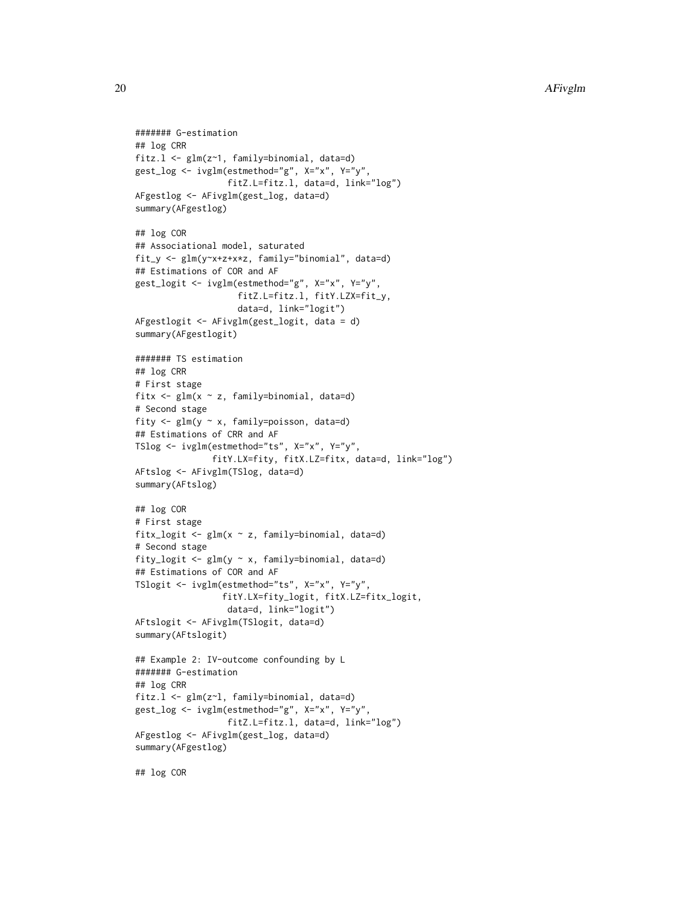```
####### G-estimation
## log CRR
fitz.l <- glm(z~1, family=binomial, data=d)
gest_log <- ivglm(estmethod="g", X="x", Y="y",
                  fitZ.L=fitz.l, data=d, link="log")
AFgestlog <- AFivglm(gest_log, data=d)
summary(AFgestlog)
## log COR
## Associational model, saturated
fit_y <- glm(y~x+z+x*z, family="binomial", data=d)
## Estimations of COR and AF
gest_logit <- ivglm(estmethod="g", X="x", Y="y",
                    fitZ.L=fitz.l, fitY.LZX=fit_y,
                    data=d, link="logit")
AFgestlogit <- AFivglm(gest_logit, data = d)
summary(AFgestlogit)
####### TS estimation
## log CRR
# First stage
fitx <- glm(x ~ z, family=binomial, data=d)
# Second stage
fity <- glm(y ~ x, family=poisson, data=d)
## Estimations of CRR and AF
TSlog <- ivglm(estmethod="ts", X="x", Y="y",
               fitY.LX=fity, fitX.LZ=fitx, data=d, link="log")
AFtslog <- AFivglm(TSlog, data=d)
summary(AFtslog)
## log COR
# First stage
fitx_logit <- glm(x ~ z, family=binomial, data=d)
# Second stage
fity_logit <- glm(y ~ x, family=binomial, data=d)
## Estimations of COR and AF
TSlogit <- ivglm(estmethod="ts", X="x", Y="y",
                 fitY.LX=fity_logit, fitX.LZ=fitx_logit,
                  data=d, link="logit")
AFtslogit <- AFivglm(TSlogit, data=d)
summary(AFtslogit)
## Example 2: IV-outcome confounding by L
####### G-estimation
## log CRR
fitz.l <- glm(z~l, family=binomial, data=d)
gest_log <- ivglm(estmethod="g", X="x", Y="y",
                  fitZ.L=fitz.l, data=d, link="log")
AFgestlog <- AFivglm(gest_log, data=d)
summary(AFgestlog)
```
## log COR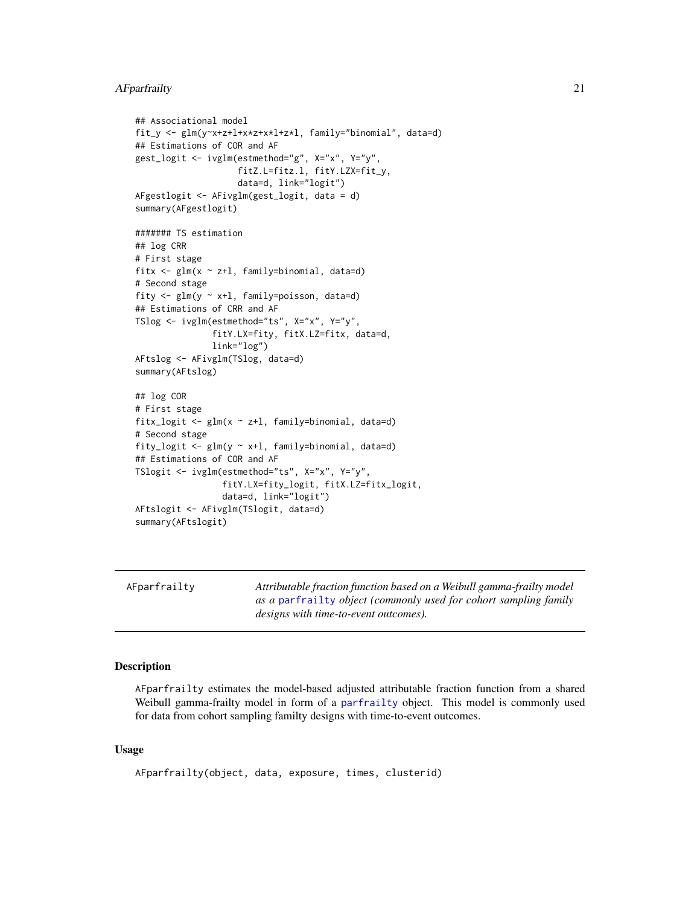# <span id="page-20-0"></span>AFparfrailty 21

```
## Associational model
fit_y <- glm(y~x+z+l+x*z+x*l+z*l, family="binomial", data=d)
## Estimations of COR and AF
gest_logit <- ivglm(estmethod="g", X="x", Y="y",
                    fitZ.L=fitz.l, fitY.LZX=fit_y,
                    data=d, link="logit")
AFgestlogit <- AFivglm(gest_logit, data = d)
summary(AFgestlogit)
####### TS estimation
## log CRR
# First stage
fitx \leq glm(x \sim z+l, family=binomial, data=d)
# Second stage
fity <- glm(y ~ x+l, family=poisson, data=d)
## Estimations of CRR and AF
TSlog <- ivglm(estmethod="ts", X="x", Y="y",
               fitY.LX=fity, fitX.LZ=fitx, data=d,
               link="log")
AFtslog <- AFivglm(TSlog, data=d)
summary(AFtslog)
## log COR
# First stage
fitx_logit <- glm(x ~ z+l, family=binomial, data=d)
# Second stage
fity_logit <- glm(y \sim x+1, family=binomial, data=d)
## Estimations of COR and AF
TSlogit <- ivglm(estmethod="ts", X="x", Y="y",
                 fitY.LX=fity_logit, fitX.LZ=fitx_logit,
                 data=d, link="logit")
AFtslogit <- AFivglm(TSlogit, data=d)
summary(AFtslogit)
```
<span id="page-20-1"></span>

| AFparfrailty | Attributable fraction function based on a Weibull gamma-frailty model |
|--------------|-----------------------------------------------------------------------|
|              | as a parfrailty object (commonly used for cohort sampling family      |
|              | designs with time-to-event outcomes).                                 |

#### Description

AFparfrailty estimates the model-based adjusted attributable fraction function from a shared Weibull gamma-frailty model in form of a [parfrailty](#page-0-0) object. This model is commonly used for data from cohort sampling familty designs with time-to-event outcomes.

### Usage

```
AFparfrailty(object, data, exposure, times, clusterid)
```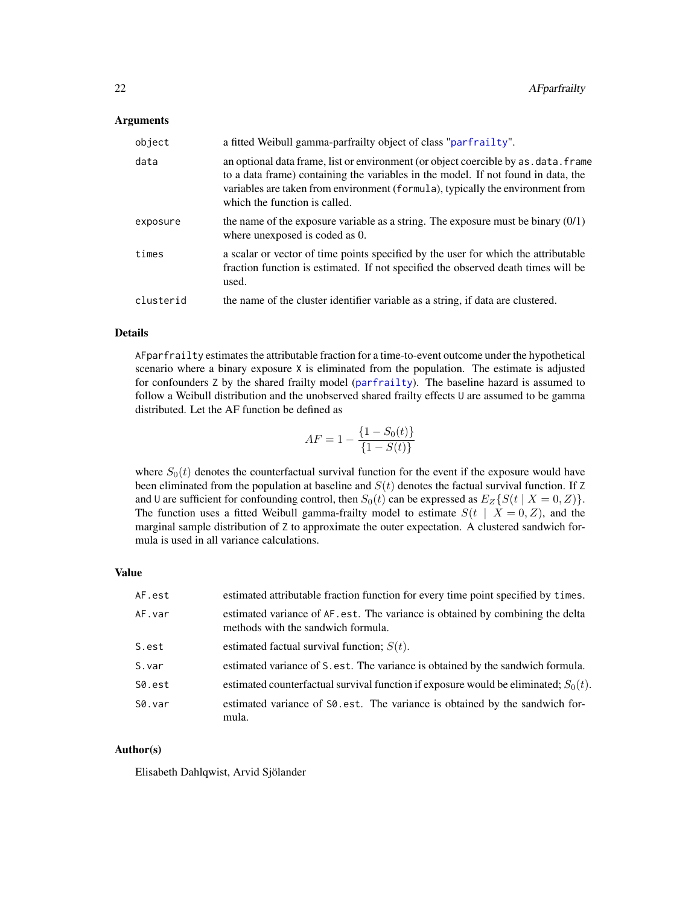#### Arguments

| object    | a fitted Weibull gamma-parfrailty object of class "parfrailty".                                                                                                                                                                                                                              |
|-----------|----------------------------------------------------------------------------------------------------------------------------------------------------------------------------------------------------------------------------------------------------------------------------------------------|
| data      | an optional data frame, list or environment (or object coercible by as . data. frame<br>to a data frame) containing the variables in the model. If not found in data, the<br>variables are taken from environment (formula), typically the environment from<br>which the function is called. |
| exposure  | the name of the exposure variable as a string. The exposure must be binary $(0/1)$<br>where unexposed is coded as 0.                                                                                                                                                                         |
| times     | a scalar or vector of time points specified by the user for which the attributable<br>fraction function is estimated. If not specified the observed death times will be<br>used.                                                                                                             |
| clusterid | the name of the cluster identifier variable as a string, if data are clustered.                                                                                                                                                                                                              |

# Details

AFparfrailty estimates the attributable fraction for a time-to-event outcome under the hypothetical scenario where a binary exposure X is eliminated from the population. The estimate is adjusted for confounders Z by the shared frailty model ([parfrailty](#page-0-0)). The baseline hazard is assumed to follow a Weibull distribution and the unobserved shared frailty effects U are assumed to be gamma distributed. Let the AF function be defined as

$$
AF = 1 - \frac{\{1 - S_0(t)\}}{\{1 - S(t)\}}
$$

where  $S_0(t)$  denotes the counterfactual survival function for the event if the exposure would have been eliminated from the population at baseline and  $S(t)$  denotes the factual survival function. If Z and U are sufficient for confounding control, then  $S_0(t)$  can be expressed as  $E_Z\{S(t | X = 0, Z)\}\.$ The function uses a fitted Weibull gamma-frailty model to estimate  $S(t | X = 0, Z)$ , and the marginal sample distribution of Z to approximate the outer expectation. A clustered sandwich formula is used in all variance calculations.

# Value

| AF.est | estimated attributable fraction function for every time point specified by times.                                   |
|--------|---------------------------------------------------------------------------------------------------------------------|
| AF.var | estimated variance of AF.est. The variance is obtained by combining the delta<br>methods with the sandwich formula. |
| S.est  | estimated factual survival function; $S(t)$ .                                                                       |
| S.var  | estimated variance of S. est. The variance is obtained by the sandwich formula.                                     |
| S0.est | estimated counterfactual survival function if exposure would be eliminated; $S_0(t)$ .                              |
| S0.var | estimated variance of S0.est. The variance is obtained by the sandwich for-<br>mula.                                |

# Author(s)

Elisabeth Dahlqwist, Arvid Sjölander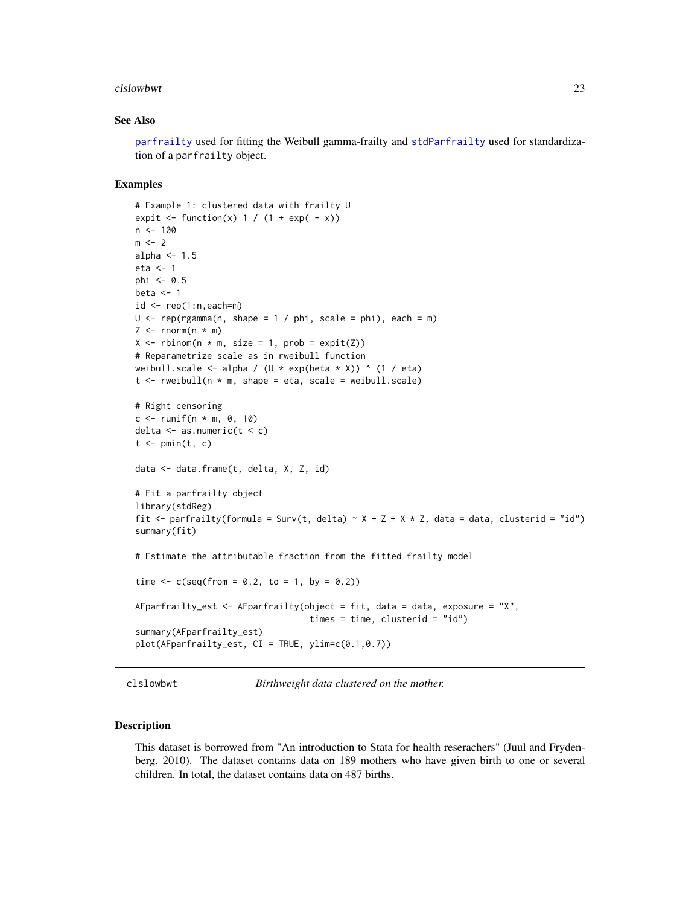#### <span id="page-22-0"></span>clslowbwt 23

#### See Also

[parfrailty](#page-0-0) used for fitting the Weibull gamma-frailty and [stdParfrailty](#page-0-0) used for standardization of a parfrailty object.

#### Examples

```
# Example 1: clustered data with frailty U
expit \le function(x) 1 / (1 + exp( - x))
n < -100m < -2alpha <-1.5eta <- 1
phi \leq -0.5beta <-1id \leftarrow rep(1:n, each=m)U \leq -\text{rep}(\text{rgamma}(n, \text{shape} = 1 / \text{phi}, \text{scale} = \text{phi}), \text{each} = \text{m})Z \le rnorm(n * m)
X \le rbinom(n * m, size = 1, prob = expit(Z))
# Reparametrize scale as in rweibull function
weibull.scale <- alpha / (U * exp(beta * X)) ^ (1 / eta)
t <- rweibull(n * m, shape = eta, scale = weibull.scale)
# Right censoring
c <- runif(n * m, 0, 10)
delta \leq as.numeric(t \leq c)
t \leq -\text{pmin}(t, c)data <- data.frame(t, delta, X, Z, id)
# Fit a parfrailty object
library(stdReg)
fit <- parfrailty(formula = Surv(t, delta) ~ X + Z + X * Z, data = data, clusterid = "id")
summary(fit)
# Estimate the attributable fraction from the fitted frailty model
time \leq c(seq(from = 0.2, to = 1, by = 0.2))
AFparfrailty_est \leq- AFparfrailty(object = fit, data = data, exposure = "X",
                                     times = time, clusterid = "id")
summary(AFparfrailty_est)
plot(AFparfrailty_est, CI = TRUE, ylim=c(0.1,0.7))
```
clslowbwt *Birthweight data clustered on the mother.*

#### Description

This dataset is borrowed from "An introduction to Stata for health reserachers" (Juul and Frydenberg, 2010). The dataset contains data on 189 mothers who have given birth to one or several children. In total, the dataset contains data on 487 births.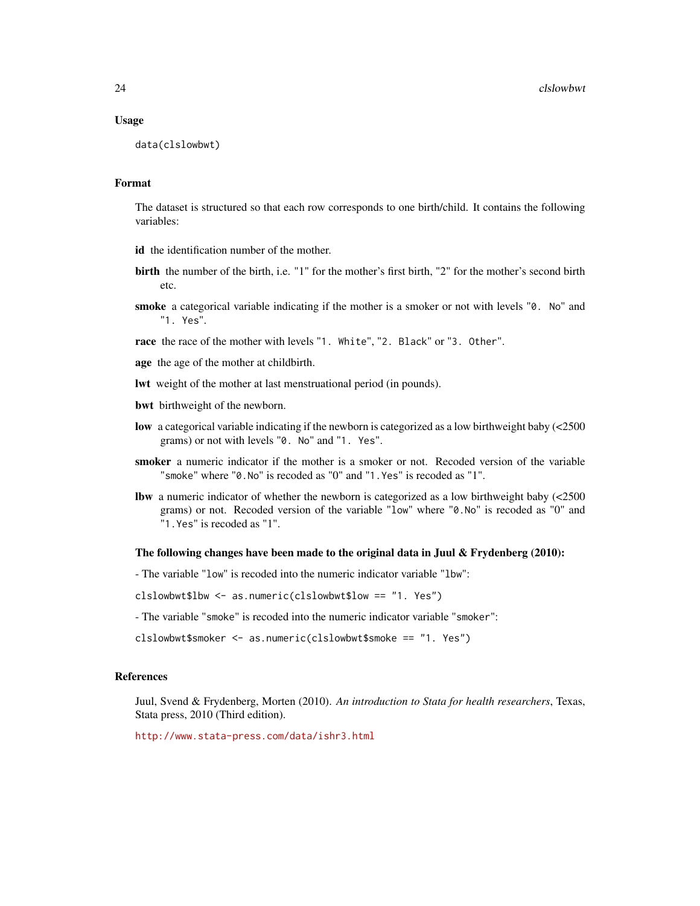#### Usage

```
data(clslowbwt)
```
#### Format

The dataset is structured so that each row corresponds to one birth/child. It contains the following variables:

- id the identification number of the mother.
- birth the number of the birth, i.e. "1" for the mother's first birth, "2" for the mother's second birth etc.
- smoke a categorical variable indicating if the mother is a smoker or not with levels "0. No" and "1. Yes".
- race the race of the mother with levels "1. White", "2. Black" or "3. Other".
- age the age of the mother at childbirth.
- lwt weight of the mother at last menstruational period (in pounds).
- bwt birthweight of the newborn.
- low a categorical variable indicating if the newborn is categorized as a low birthweight baby (<2500 grams) or not with levels "0. No" and "1. Yes".
- smoker a numeric indicator if the mother is a smoker or not. Recoded version of the variable "smoke" where "0.No" is recoded as "0" and "1.Yes" is recoded as "1".
- lbw a numeric indicator of whether the newborn is categorized as a low birthweight baby (<2500 grams) or not. Recoded version of the variable "low" where "0.No" is recoded as "0" and "1.Yes" is recoded as "1".

### The following changes have been made to the original data in Juul & Frydenberg  $(2010)$ :

- The variable "low" is recoded into the numeric indicator variable "lbw":

clslowbwt\$lbw <- as.numeric(clslowbwt\$low == "1. Yes")

- The variable "smoke" is recoded into the numeric indicator variable "smoker":

clslowbwt\$smoker <- as.numeric(clslowbwt\$smoke == "1. Yes")

#### References

Juul, Svend & Frydenberg, Morten (2010). *An introduction to Stata for health researchers*, Texas, Stata press, 2010 (Third edition).

<http://www.stata-press.com/data/ishr3.html>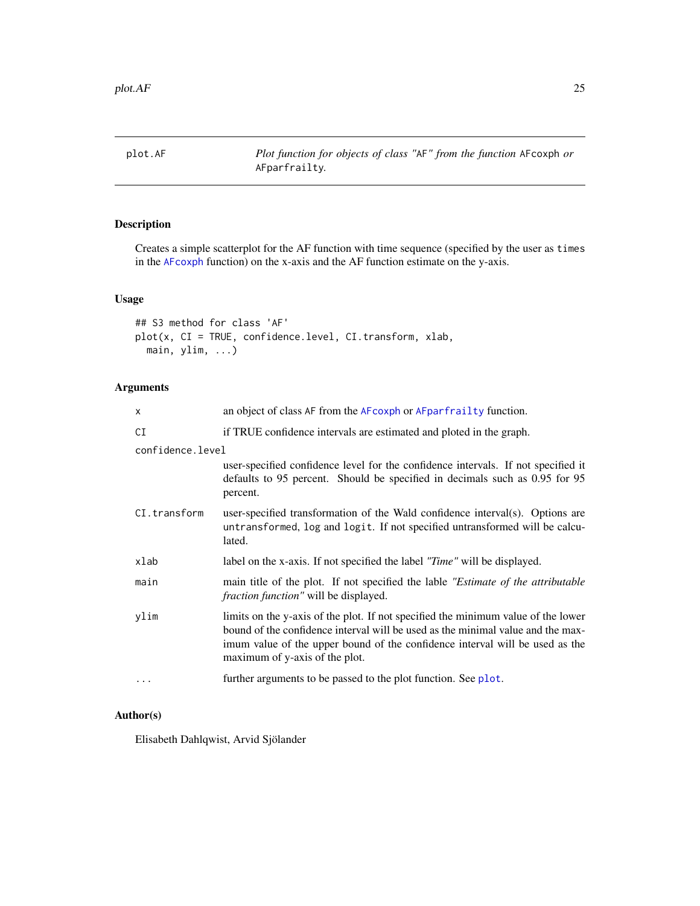<span id="page-24-0"></span>plot.AF *Plot function for objects of class "*AF*" from the function* AFcoxph *or* AFparfrailty*.*

# Description

Creates a simple scatterplot for the AF function with time sequence (specified by the user as times in the [AFcoxph](#page-11-1) function) on the x-axis and the AF function estimate on the y-axis.

# Usage

```
## S3 method for class 'AF'
plot(x, CI = TRUE, confidence.level, CI.transform, xlab,
 main, ylim, ...)
```
# Arguments

| X                | an object of class AF from the AF coxph or AF parfrail ty function.                                                                                                                                                                                                                    |  |
|------------------|----------------------------------------------------------------------------------------------------------------------------------------------------------------------------------------------------------------------------------------------------------------------------------------|--|
| CI               | if TRUE confidence intervals are estimated and ploted in the graph.                                                                                                                                                                                                                    |  |
| confidence.level |                                                                                                                                                                                                                                                                                        |  |
|                  | user-specified confidence level for the confidence intervals. If not specified it<br>defaults to 95 percent. Should be specified in decimals such as 0.95 for 95<br>percent.                                                                                                           |  |
| CI.transform     | user-specified transformation of the Wald confidence interval(s). Options are<br>untransformed, log and logit. If not specified untransformed will be calcu-<br>lated.                                                                                                                 |  |
| xlab             | label on the x-axis. If not specified the label "Time" will be displayed.                                                                                                                                                                                                              |  |
| main             | main title of the plot. If not specified the lable "Estimate of the attributable"<br><i>fraction function"</i> will be displayed.                                                                                                                                                      |  |
| ylim             | limits on the y-axis of the plot. If not specified the minimum value of the lower<br>bound of the confidence interval will be used as the minimal value and the max-<br>imum value of the upper bound of the confidence interval will be used as the<br>maximum of y-axis of the plot. |  |
| $\ddots$ .       | further arguments to be passed to the plot function. See plot.                                                                                                                                                                                                                         |  |
|                  |                                                                                                                                                                                                                                                                                        |  |

#### Author(s)

Elisabeth Dahlqwist, Arvid Sjölander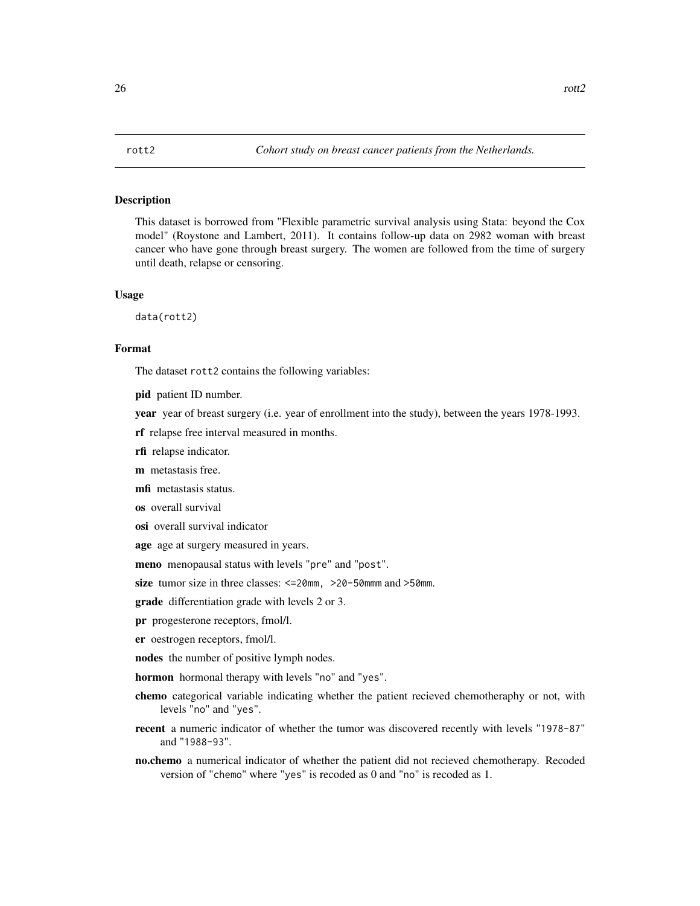### <span id="page-25-0"></span>**Description**

This dataset is borrowed from "Flexible parametric survival analysis using Stata: beyond the Cox model" (Roystone and Lambert, 2011). It contains follow-up data on 2982 woman with breast cancer who have gone through breast surgery. The women are followed from the time of surgery until death, relapse or censoring.

#### Usage

data(rott2)

# Format

The dataset rott2 contains the following variables:

pid patient ID number.

year year of breast surgery (i.e. year of enrollment into the study), between the years 1978-1993.

rf relapse free interval measured in months.

rfi relapse indicator.

m metastasis free.

mfi metastasis status.

os overall survival

osi overall survival indicator

age age at surgery measured in years.

meno menopausal status with levels "pre" and "post".

size tumor size in three classes: <=20mm, >20-50mmm and >50mm.

grade differentiation grade with levels 2 or 3.

pr progesterone receptors, fmol/l.

er oestrogen receptors, fmol/l.

nodes the number of positive lymph nodes.

hormon hormonal therapy with levels "no" and "yes".

- chemo categorical variable indicating whether the patient recieved chemotheraphy or not, with levels "no" and "yes".
- recent a numeric indicator of whether the tumor was discovered recently with levels "1978-87" and "1988-93".
- no.chemo a numerical indicator of whether the patient did not recieved chemotherapy. Recoded version of "chemo" where "yes" is recoded as 0 and "no" is recoded as 1.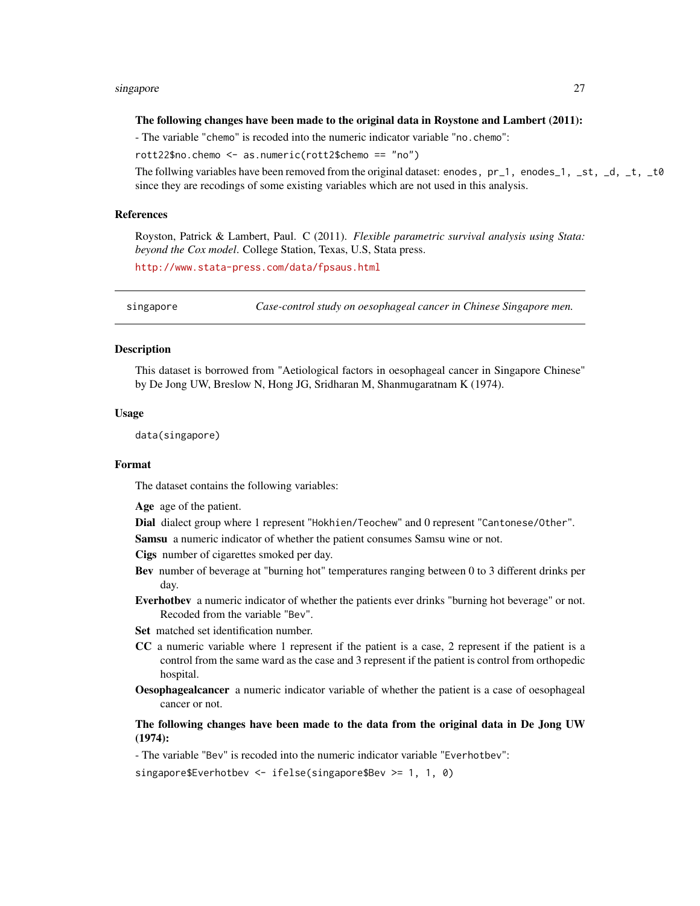#### <span id="page-26-0"></span>singapore 27

#### The following changes have been made to the original data in Roystone and Lambert (2011):

- The variable "chemo" is recoded into the numeric indicator variable "no.chemo":

rott22\$no.chemo <- as.numeric(rott2\$chemo == "no")

The follwing variables have been removed from the original dataset: enodes,  $pr_1$ , enodes $_1$ ,  $_st$ ,  $dt$ ,  $dt$ ,  $dt$ since they are recodings of some existing variables which are not used in this analysis.

#### References

Royston, Patrick & Lambert, Paul. C (2011). *Flexible parametric survival analysis using Stata: beyond the Cox model*. College Station, Texas, U.S, Stata press.

<http://www.stata-press.com/data/fpsaus.html>

singapore *Case-control study on oesophageal cancer in Chinese Singapore men.*

#### Description

This dataset is borrowed from "Aetiological factors in oesophageal cancer in Singapore Chinese" by De Jong UW, Breslow N, Hong JG, Sridharan M, Shanmugaratnam K (1974).

#### Usage

data(singapore)

#### Format

The dataset contains the following variables:

Age age of the patient.

Dial dialect group where 1 represent "Hokhien/Teochew" and 0 represent "Cantonese/Other".

Samsu a numeric indicator of whether the patient consumes Samsu wine or not.

Cigs number of cigarettes smoked per day.

- Bev number of beverage at "burning hot" temperatures ranging between 0 to 3 different drinks per day.
- Everhotbev a numeric indicator of whether the patients ever drinks "burning hot beverage" or not. Recoded from the variable "Bev".
- Set matched set identification number.
- CC a numeric variable where 1 represent if the patient is a case, 2 represent if the patient is a control from the same ward as the case and 3 represent if the patient is control from orthopedic hospital.
- Oesophagealcancer a numeric indicator variable of whether the patient is a case of oesophageal cancer or not.

# The following changes have been made to the data from the original data in De Jong UW (1974):

- The variable "Bev" is recoded into the numeric indicator variable "Everhotbev":

singapore\$Everhotbev <- ifelse(singapore\$Bev >= 1, 1, 0)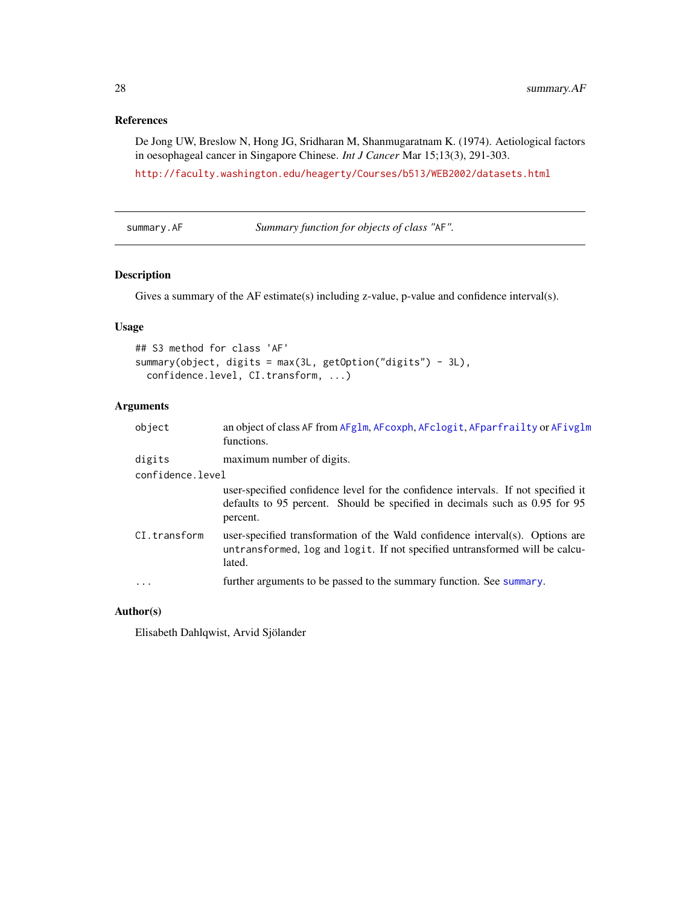# <span id="page-27-0"></span>References

De Jong UW, Breslow N, Hong JG, Sridharan M, Shanmugaratnam K. (1974). Aetiological factors in oesophageal cancer in Singapore Chinese. *Int J Cancer* Mar 15;13(3), 291-303.

<http://faculty.washington.edu/heagerty/Courses/b513/WEB2002/datasets.html>

summary.AF *Summary function for objects of class "*AF*".*

# Description

Gives a summary of the AF estimate(s) including z-value, p-value and confidence interval(s).

# Usage

```
## S3 method for class 'AF'
summary(object, digits = max(3L, getOption("digits") - 3L),
 confidence.level, CI.transform, ...)
```
# Arguments

| object           | an object of class AF from AFg1m, AFcoxph, AFclogit, AFparfrailty or AFivg1m<br>functions.                                                                                   |
|------------------|------------------------------------------------------------------------------------------------------------------------------------------------------------------------------|
| digits           | maximum number of digits.                                                                                                                                                    |
| confidence.level |                                                                                                                                                                              |
|                  | user-specified confidence level for the confidence intervals. If not specified it<br>defaults to 95 percent. Should be specified in decimals such as 0.95 for 95<br>percent. |
| CI.transform     | user-specified transformation of the Wald confidence interval(s). Options are<br>untransformed, log and logit. If not specified untransformed will be calcu-<br>lated.       |
| $\ddots$ .       | further arguments to be passed to the summary function. See summary.                                                                                                         |
|                  |                                                                                                                                                                              |

# Author(s)

Elisabeth Dahlqwist, Arvid Sjölander